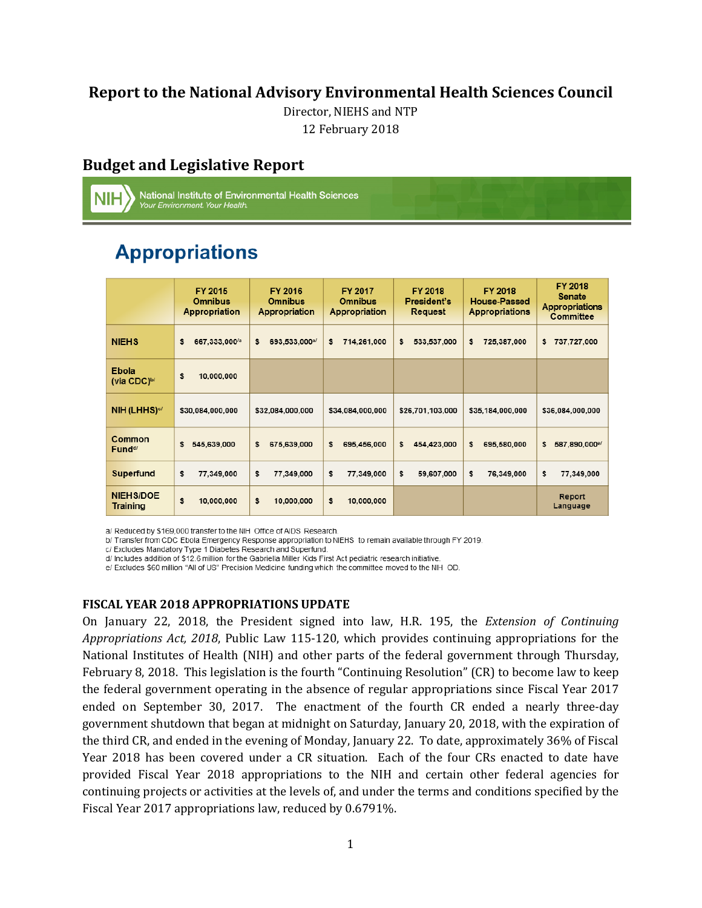# **Report to the National Advisory Environmental Health Sciences Council**

Director, NIEHS and NTP

12 February 2018

# **Budget and Legislative Report**

National Institute of Environmental Health Sciences<br>*Your Environment. Your Health.* 

# **Appropriations**

|                                           | FY 2015<br>Omnibus<br><b>Appropriation</b> | FY 2016<br><b>Omnibus</b><br>Appropriation | <b>FY 2017</b><br><b>Omnibus</b><br>Appropriation | <b>FY 2018</b><br>President's<br>Request | <b>FY 2018</b><br><b>House-Passed</b><br><b>Appropriations</b> | FY 2018<br><b>Senate</b><br><b>Appropriations</b><br>Committee |
|-------------------------------------------|--------------------------------------------|--------------------------------------------|---------------------------------------------------|------------------------------------------|----------------------------------------------------------------|----------------------------------------------------------------|
| <b>NIEHS</b>                              | \$<br>667,333,000 <sup>/a</sup>            | \$<br>693,533,000a/                        | \$<br>714,261,000                                 | \$<br>533,537,000                        | \$<br>725,387,000                                              | \$<br>737,727,000                                              |
| <b>Ebola</b><br>(via $CDC)$ <sup>b/</sup> | \$<br>10,000,000                           |                                            |                                                   |                                          |                                                                |                                                                |
| NIH(LHHS) <sup>o/</sup>                   | \$30,084,000,000                           | \$32,084,000,000                           | \$34,084,000,000                                  | \$26,701,103,000                         | \$35,184,000,000                                               | \$36,084,000,000                                               |
| Common<br>Fund <sup>d/</sup>              | \$<br>545,639,000                          | \$<br>675,639,000                          | \$<br>695,456,000                                 | \$<br>454,423,000                        | \$<br>695,580,000                                              | \$<br>587,890,000 <sup>e/</sup>                                |
| Superfund                                 | \$<br>77,349,000                           | \$<br>77,349,000                           | \$<br>77,349,000                                  | \$<br>59,607,000                         | \$<br>76,349,000                                               | \$<br>77,349,000                                               |
| <b>NIEHS/DOE</b><br>Training              | \$<br>10,000,000                           | \$<br>10,000,000                           | \$<br>10,000,000                                  |                                          |                                                                | Report<br>Language                                             |

a/ Reduced by \$169,000 transfer to the NIH Office of AIDS Research.

b/ Transfer from CDC Ebola Emergency Response appropriation to NIEHS to remain available through FY 2019.

c/ Excludes Mandatory Type 1 Diabetes Research and Superfund.

d/ Includes addition of \$12.6 million for the Gabriella Miller Kids First Act pediatric research initiative.

e/ Excludes \$60 million "All of US" Precision Medicine funding which the committee moved to the NIH OD.

#### **FISCAL YEAR 2018 APPROPRIATIONS UPDATE**

 *Appropriations Act, 2018*, Public Law 115-120, which provides continuing appropriations for the ended on September 30, 2017. The enactment of the fourth CR ended a nearly three-day On January 22, 2018, the President signed into law, H.R. 195, the *Extension of Continuing*  National Institutes of Health (NIH) and other parts of the federal government through Thursday, February 8, 2018. This legislation is the fourth "Continuing Resolution" (CR) to become law to keep the federal government operating in the absence of regular appropriations since Fiscal Year 2017 government shutdown that began at midnight on Saturday, January 20, 2018, with the expiration of the third CR, and ended in the evening of Monday, January 22. To date, approximately 36% of Fiscal Year 2018 has been covered under a CR situation. Each of the four CRs enacted to date have provided Fiscal Year 2018 appropriations to the NIH and certain other federal agencies for continuing projects or activities at the levels of, and under the terms and conditions specified by the Fiscal Year 2017 appropriations law, reduced by 0.6791%.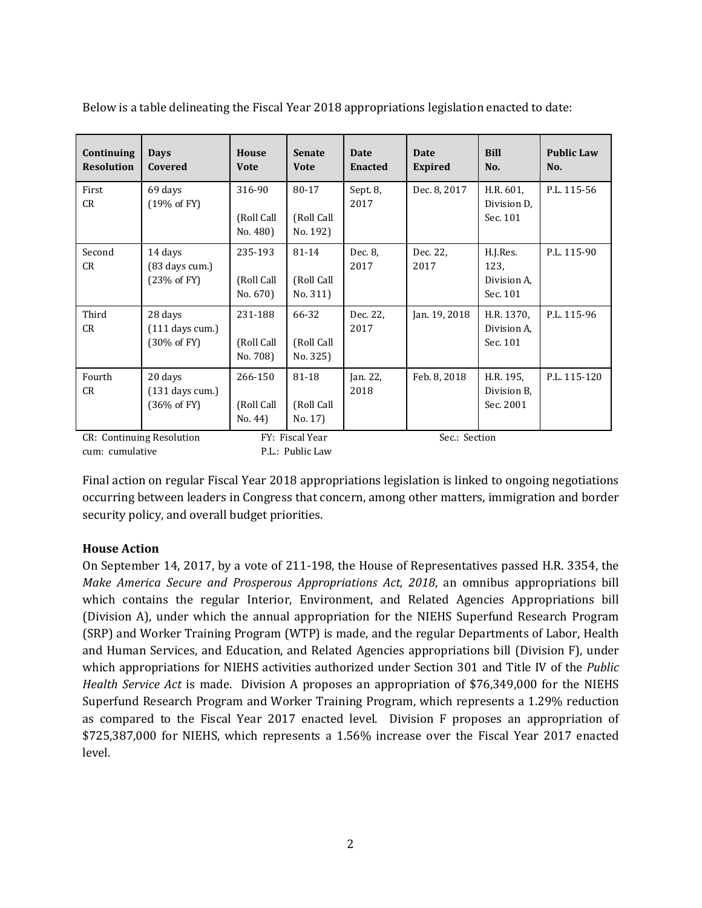| Continuing<br><b>Resolution</b> | <b>Days</b><br>Covered                                 | <b>House</b><br><b>Vote</b>       | <b>Senate</b><br><b>Vote</b>    | <b>Date</b><br><b>Enacted</b> | Date<br><b>Expired</b> | <b>Bill</b><br>No.                          | <b>Public Law</b><br>No. |
|---------------------------------|--------------------------------------------------------|-----------------------------------|---------------------------------|-------------------------------|------------------------|---------------------------------------------|--------------------------|
| First<br>CR                     | 69 days<br>(19% of FY)                                 | 316-90<br>(Roll Call<br>No. 480)  | 80-17<br>(Roll Call<br>No. 192) | Sept. 8,<br>2017              | Dec. 8, 2017           | H.R. 601,<br>Division D.<br>Sec. 101        | P.L. 115-56              |
| Second<br>CR                    | 14 days<br>$(83 \text{ days cum.})$<br>(23% of FY)     | 235-193<br>(Roll Call<br>No. 670) | 81-14<br>(Roll Call<br>No. 311) | Dec. 8.<br>2017               | Dec. 22.<br>2017       | H.J.Res.<br>123,<br>Division A.<br>Sec. 101 | P.L. 115-90              |
| Third<br>CR                     | 28 days<br>$(111$ days cum.)<br>$(30\% \text{ of FY})$ | 231-188<br>(Roll Call<br>No. 708) | 66-32<br>(Roll Call<br>No. 325) | Dec. 22.<br>2017              | Jan. 19, 2018          | H.R. 1370,<br>Division A.<br>Sec. 101       | P.L. 115-96              |
| Fourth<br>CR                    | 20 days<br>$(131$ days cum.)<br>$(36\% \text{ of FY})$ | 266-150<br>(Roll Call<br>No. 44   | 81-18<br>(Roll Call<br>No. 17)  | Jan. 22,<br>2018              | Feb. 8, 2018           | H.R. 195,<br>Division B.<br>Sec. 2001       | P.L. 115-120             |
| CR: Continuing Resolution       |                                                        | FY: Fiscal Year                   |                                 | Sec.: Section                 |                        |                                             |                          |

Below is a table delineating the Fiscal Year 2018 appropriations legislation enacted to date:

cum: cumulative P.L.: Public Law

Final action on regular Fiscal Year 2018 appropriations legislation is linked to ongoing negotiations occurring between leaders in Congress that concern, among other matters, immigration and border security policy, and overall budget priorities.

### **House Action**

 On September 14, 2017, by a vote of 211-198, the House of Representatives passed H.R. 3354, the *Make America Secure and Prosperous Appropriations Act, 2018*, an omnibus appropriations bill (Division A), under which the annual appropriation for the NIEHS Superfund Research Program (SRP) and Worker Training Program (WTP) is made, and the regular Departments of Labor, Health which appropriations for NIEHS activities authorized under Section 301 and Title IV of the *Public*  Superfund Research Program and Worker Training Program, which represents a 1.29% reduction as compared to the Fiscal Year 2017 enacted level. Division F proposes an appropriation of which contains the regular Interior, Environment, and Related Agencies Appropriations bill and Human Services, and Education, and Related Agencies appropriations bill (Division F), under *Health Service Act* is made. Division A proposes an appropriation of \$76,349,000 for the NIEHS \$725,387,000 for NIEHS, which represents a 1.56% increase over the Fiscal Year 2017 enacted level.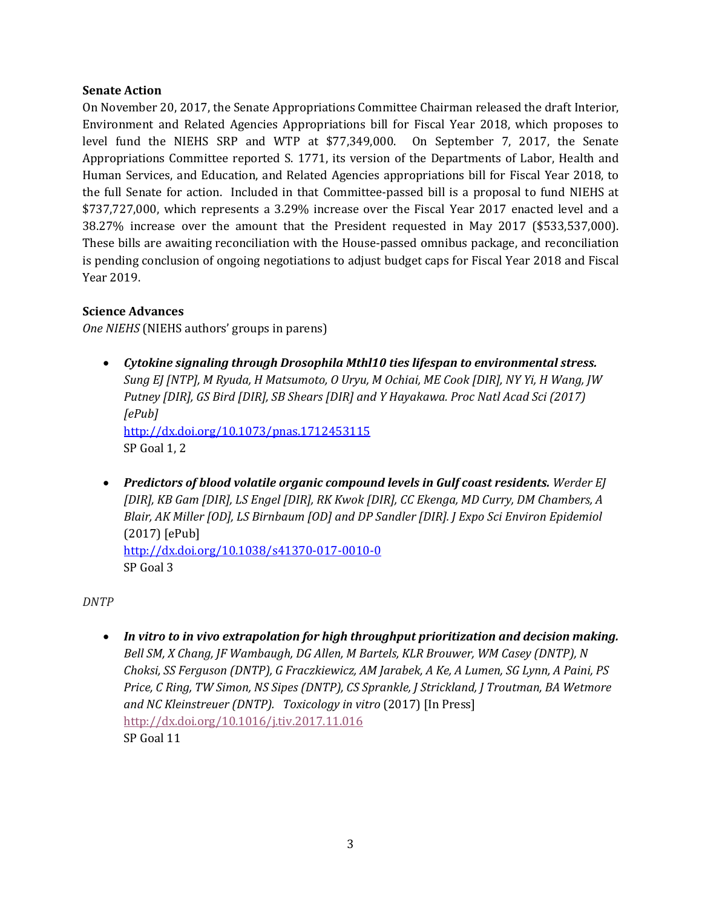#### **Senate Action**

 level fund the NIEHS SRP and WTP at \$77,349,000. On September 7, 2017, the Senate \$737,727,000, which represents a 3.29% increase over the Fiscal Year 2017 enacted level and a 38.27% increase over the amount that the President requested in May 2017 (\$533,537,000). On November 20, 2017, the Senate Appropriations Committee Chairman released the draft Interior, Environment and Related Agencies Appropriations bill for Fiscal Year 2018, which proposes to Appropriations Committee reported S. 1771, its version of the Departments of Labor, Health and Human Services, and Education, and Related Agencies appropriations bill for Fiscal Year 2018, to the full Senate for action. Included in that Committee-passed bill is a proposal to fund NIEHS at These bills are awaiting reconciliation with the House-passed omnibus package, and reconciliation is pending conclusion of ongoing negotiations to adjust budget caps for Fiscal Year 2018 and Fiscal Year 2019.

### **Science Advances**

*One NIEHS* (NIEHS authors' groups in parens)

- *Cytokine signaling through Drosophila Mthl10 ties lifespan to environmental stress. Sung EJ [NTP], M Ryuda, H Matsumoto, O Uryu, M Ochiai, ME Cook [DIR], NY Yi, H Wang, JW Putney [DIR], GS Bird [DIR], SB Shears [DIR] and Y Hayakawa. Proc Natl Acad Sci (2017) [ePub]*  <http://dx.doi.org/10.1073/pnas.1712453115> SP Goal 1, 2
- $(2017)$  [ePub] • *Predictors of blood volatile organic compound levels in Gulf coast residents. Werder EJ [DIR], KB Gam [DIR], LS Engel [DIR], RK Kwok [DIR], CC Ekenga, MD Curry, DM Chambers, A Blair, AK Miller [OD], LS Birnbaum [OD] and DP Sandler [DIR]. J Expo Sci Environ Epidemiol*  http://dx.doi.org/10.1038/s41370-017-0010-0 SP Goal 3

*DNTP* 

 • *In vitro to in vivo extrapolation for high throughput prioritization and decision making. and NC Kleinstreuer (DNTP). Toxicology in vitro* (2017) [In Press] *Bell SM, X Chang, JF Wambaugh, DG Allen, M Bartels, KLR Brouwer, WM Casey (DNTP), N Choksi, SS Ferguson (DNTP), G Fraczkiewicz, AM Jarabek, A Ke, A Lumen, SG Lynn, A Paini, PS Price, C Ring, TW Simon, NS Sipes (DNTP), CS Sprankle, J Strickland, J Troutman, BA Wetmore*  <http://dx.doi.org/10.1016/j.tiv.2017.11.016> SP Goal 11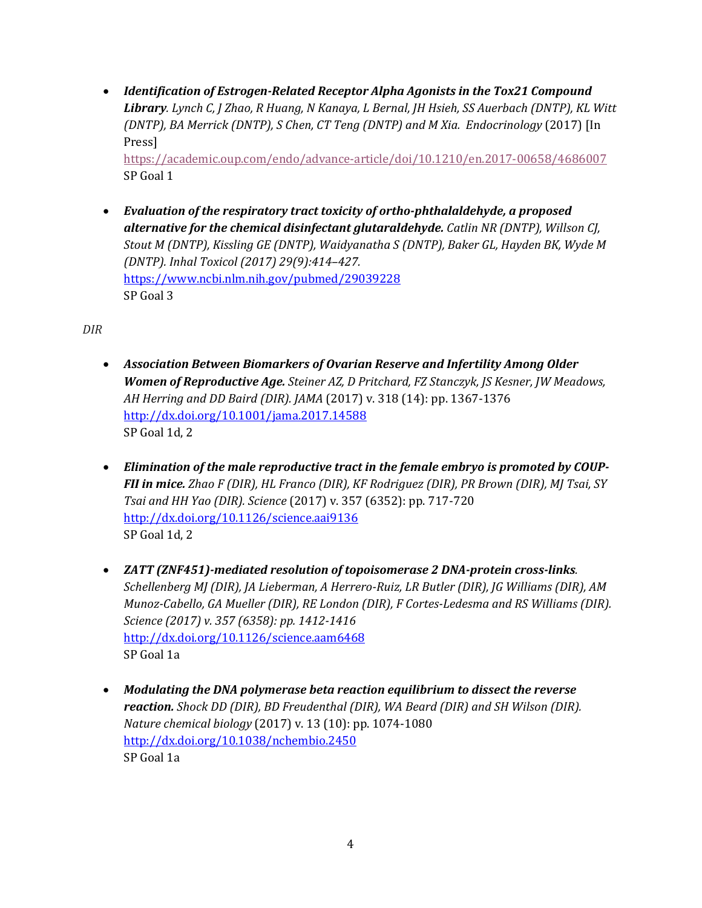• *Identification of Estrogen-Related Receptor Alpha Agonists in the Tox21 Compound Library. Lynch C, J Zhao, R Huang, N Kanaya, L Bernal, JH Hsieh, SS Auerbach (DNTP), KL Witt (DNTP), BA Merrick (DNTP), S Chen, CT Teng (DNTP) and M Xia. Endocrinology* (2017) [In Press]

<https://academic.oup.com/endo/advance-article/doi/10.1210/en.2017-00658/4686007> SP Goal 1

• *Evaluation of the respiratory tract toxicity of ortho-phthalaldehyde, a proposed alternative for the chemical disinfectant glutaraldehyde. [Catlin NR \(DNTP\), Willson CJ,](https://www.ncbi.nlm.nih.gov/pubmed/29039228)  [Stout M \(DNTP\), Kissling GE \(DNTP\), Waidyanatha S \(DNTP\), Baker GL, Hayden BK, Wyde M](https://www.ncbi.nlm.nih.gov/pubmed/29039228)  (DNTP). Inhal Toxicol (2017) 29(9):414–427.*  <https://www.ncbi.nlm.nih.gov/pubmed/29039228> SP Goal 3

*DIR* 

- *AH Herring and DD Baird (DIR). JAMA* (2017) v. 318 (14): pp. 1367-1376 • *Association Between Biomarkers of Ovarian Reserve and Infertility Among Older Women of Reproductive Age. Steiner AZ, D Pritchard, FZ Stanczyk, JS Kesner, JW Meadows,*  <http://dx.doi.org/10.1001/jama.2017.14588> SP Goal 1d, 2
- *Elimination of the male reproductive tract in the female embryo is promoted by COUP-FII in mice. Zhao F (DIR), HL Franco (DIR), KF Rodriguez (DIR), PR Brown (DIR), MJ Tsai, SY Tsai and HH Yao (DIR). Science* (2017) v. 357 (6352): pp. 717-720 <http://dx.doi.org/10.1126/science.aai9136> SP Goal 1d, 2
- SP Goal 1a • *ZATT (ZNF451)-mediated resolution of topoisomerase 2 DNA-protein cross-links. Schellenberg MJ (DIR), JA Lieberman, A Herrero-Ruiz, LR Butler (DIR), JG Williams (DIR), AM Munoz-Cabello, GA Mueller (DIR), RE London (DIR), F Cortes-Ledesma and RS Williams (DIR). Science (2017) v. 357 (6358): pp. 1412-1416*  <http://dx.doi.org/10.1126/science.aam6468>
- *Modulating the DNA polymerase beta reaction equilibrium to dissect the reverse reaction. Shock DD (DIR), BD Freudenthal (DIR), WA Beard (DIR) and SH Wilson (DIR). Nature chemical biology* (2017) v. 13 (10): pp. 1074-1080 <http://dx.doi.org/10.1038/nchembio.2450> SP Goal 1a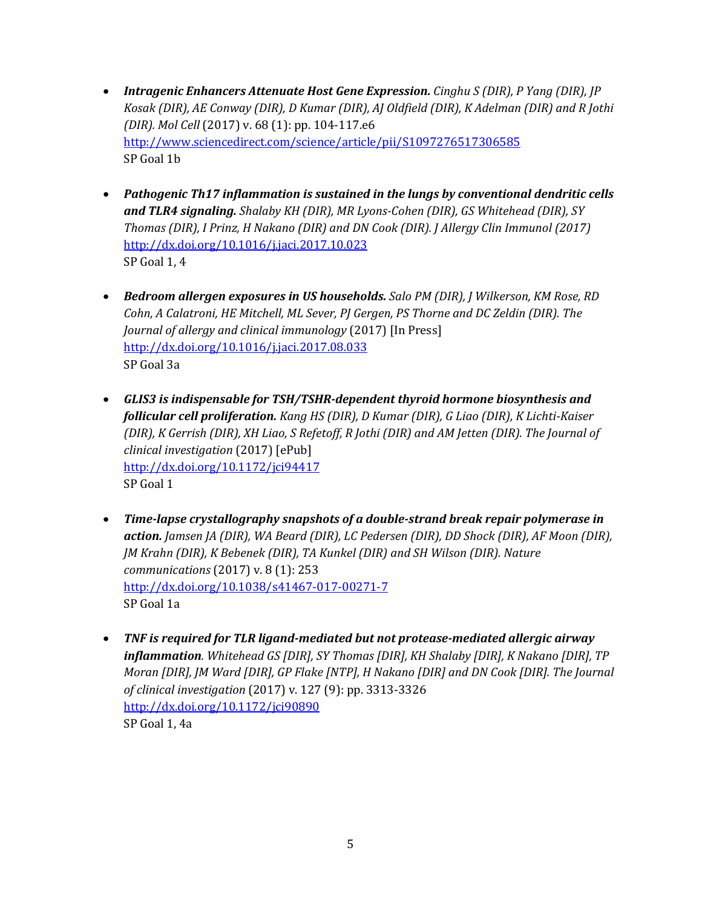- *Intragenic Enhancers Attenuate Host Gene Expression. Cinghu S (DIR), P Yang (DIR), JP Kosak (DIR), AE Conway (DIR), D Kumar (DIR), AJ Oldfield (DIR), K Adelman (DIR) and R Jothi (DIR). Mol Cell* (2017) v. 68 (1): pp. 104-117.e6 <http://www.sciencedirect.com/science/article/pii/S1097276517306585> SP Goal 1b
- *and TLR4 signaling. Shalaby KH (DIR), MR Lyons-Cohen (DIR), GS Whitehead (DIR), SY*  • *Pathogenic Th17 inflammation is sustained in the lungs by conventional dendritic cells Thomas (DIR), I Prinz, H Nakano (DIR) and DN Cook (DIR). J Allergy Clin Immunol (2017)*  <http://dx.doi.org/10.1016/j.jaci.2017.10.023> SP Goal 1, 4
- *Bedroom allergen exposures in US households. Salo PM (DIR), J Wilkerson, KM Rose, RD Cohn, A Calatroni, HE Mitchell, ML Sever, PJ Gergen, PS Thorne and DC Zeldin (DIR). The Journal of allergy and clinical immunology* (2017) [In Press] <http://dx.doi.org/10.1016/j.jaci.2017.08.033> SP Goal 3a
- *GLIS3 is indispensable for TSH/TSHR-dependent thyroid hormone biosynthesis and follicular cell proliferation. Kang HS (DIR), D Kumar (DIR), G Liao (DIR), K Lichti-Kaiser (DIR), K Gerrish (DIR), XH Liao, S Refetoff, R Jothi (DIR) and AM Jetten (DIR). The Journal of clinical investigation* (2017) [ePub] <http://dx.doi.org/10.1172/jci94417> SP Goal 1
- *Time-lapse crystallography snapshots of a double-strand break repair polymerase in action. Jamsen JA (DIR), WA Beard (DIR), LC Pedersen (DIR), DD Shock (DIR), AF Moon (DIR), JM Krahn (DIR), K Bebenek (DIR), TA Kunkel (DIR) and SH Wilson (DIR). Nature communications* (2017) v. 8 (1): 253 <http://dx.doi.org/10.1038/s41467-017-00271-7> SP Goal 1a
- *Moran [DIR], JM Ward [DIR], GP Flake [NTP], H Nakano [DIR] and DN Cook [DIR]. The Journal*  • *TNF is required for TLR ligand-mediated but not protease-mediated allergic airway inflammation. Whitehead GS [DIR], SY Thomas [DIR], KH Shalaby [DIR], K Nakano [DIR], TP of clinical investigation* (2017) v. 127 (9): pp. 3313-3326 <http://dx.doi.org/10.1172/jci90890> SP Goal 1, 4a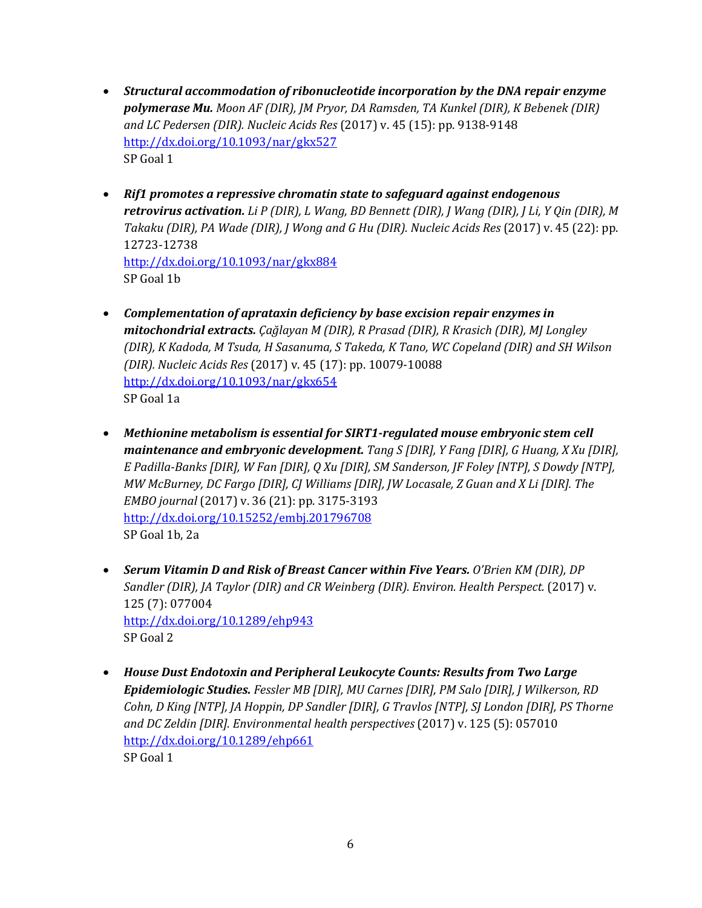- *Structural accommodation of ribonucleotide incorporation by the DNA repair enzyme polymerase Mu. Moon AF (DIR), JM Pryor, DA Ramsden, TA Kunkel (DIR), K Bebenek (DIR) and LC Pedersen (DIR). Nucleic Acids Res* (2017) v. 45 (15): pp. 9138-9148 <http://dx.doi.org/10.1093/nar/gkx527> SP Goal 1
- *Rif1 promotes a repressive chromatin state to safeguard against endogenous retrovirus activation. Li P (DIR), L Wang, BD Bennett (DIR), J Wang (DIR), J Li, Y Qin (DIR), M Takaku (DIR), PA Wade (DIR), J Wong and G Hu (DIR). Nucleic Acids Res* (2017) v. 45 (22): pp. 12723-12738 <http://dx.doi.org/10.1093/nar/gkx884> SP Goal 1b
- *(DIR), K Kadoda, M Tsuda, H Sasanuma, S Takeda, K Tano, WC Copeland (DIR) and SH Wilson*  • *Complementation of aprataxin deficiency by base excision repair enzymes in mitochondrial extracts. Ҫağlayan M (DIR), R Prasad (DIR), R Krasich (DIR), MJ Longley (DIR). Nucleic Acids Res* (2017) v. 45 (17): pp. 10079-10088 <http://dx.doi.org/10.1093/nar/gkx654> SP Goal 1a
- *Methionine metabolism is essential for SIRT1-regulated mouse embryonic stem cell maintenance and embryonic development. Tang S [DIR], Y Fang [DIR], G Huang, X Xu [DIR], E Padilla-Banks [DIR], W Fan [DIR], Q Xu [DIR], SM Sanderson, JF Foley [NTP], S Dowdy [NTP], MW McBurney, DC Fargo [DIR], CJ Williams [DIR], JW Locasale, Z Guan and X Li [DIR]. The EMBO journal* (2017) v. 36 (21): pp. 3175-3193 <http://dx.doi.org/10.15252/embj.201796708> SP Goal 1b, 2a
- 125 (7): 077004 • Serum Vitamin D and Risk of Breast Cancer within Five Years. O'Brien KM (DIR), DP *Sandler (DIR), JA Taylor (DIR) and CR Weinberg (DIR). Environ. Health Perspect.* (2017) v. <http://dx.doi.org/10.1289/ehp943> SP Goal 2
- *Cohn, D King [NTP], JA Hoppin, DP Sandler [DIR], G Travlos [NTP], SJ London [DIR], PS Thorne*  • *House Dust Endotoxin and Peripheral Leukocyte Counts: Results from Two Large Epidemiologic Studies. Fessler MB [DIR], MU Carnes [DIR], PM Salo [DIR], J Wilkerson, RD and DC Zeldin [DIR]. Environmental health perspectives* (2017) v. 125 (5): 057010 <http://dx.doi.org/10.1289/ehp661> SP Goal 1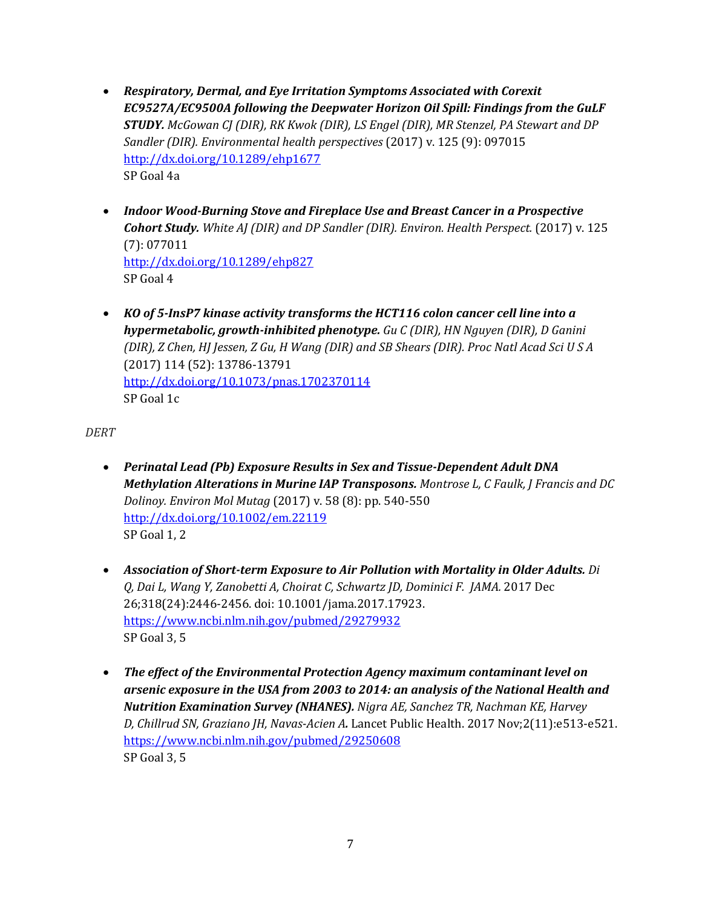- *Sandler (DIR). Environmental health perspectives (2017) v. 125 (9): 097015*<br><u>http://dx.doi.org/10.1289/ehp1677</u> • *Respiratory, Dermal, and Eye Irritation Symptoms Associated with Corexit EC9527A/EC9500A following the Deepwater Horizon Oil Spill: Findings from the GuLF STUDY. McGowan CJ (DIR), RK Kwok (DIR), LS Engel (DIR), MR Stenzel, PA Stewart and DP*  SP Goal 4a
- *Indoor Wood-Burning Stove and Fireplace Use and Breast Cancer in a Prospective Cohort Study. White AJ (DIR) and DP Sandler (DIR). Environ. Health Perspect.* (2017) v. 125 (7): 077011 <http://dx.doi.org/10.1289/ehp827> SP Goal 4
- *hypermetabolic, growth-inhibited phenotype. Gu C (DIR), HN Nguyen (DIR), D Ganini*  • *KO of 5-InsP7 kinase activity transforms the HCT116 colon cancer cell line into a (DIR), Z Chen, HJ Jessen, Z Gu, H Wang (DIR) and SB Shears (DIR). Proc Natl Acad Sci U S A*  (2017) 114 (52): 13786-13791 <http://dx.doi.org/10.1073/pnas.1702370114> SP Goal 1c

*DERT* 

- *Dolinoy. Environ Mol Mutag* (2017) v. 58 (8): pp. 540-550 • *Perinatal Lead (Pb) Exposure Results in Sex and Tissue-Dependent Adult DNA Methylation Alterations in Murine IAP Transposons. Montrose L, C Faulk, J Francis and DC*  <http://dx.doi.org/10.1002/em.22119> SP Goal 1, 2
- *[Q,](https://www.ncbi.nlm.nih.gov/pubmed/?term=Di%20Q%5BAuthor%5D&cauthor=true&cauthor_uid=29279932) [Dai L,](https://www.ncbi.nlm.nih.gov/pubmed/?term=Dai%20L%5BAuthor%5D&cauthor=true&cauthor_uid=29279932) [Wang Y,](https://www.ncbi.nlm.nih.gov/pubmed/?term=Wang%20Y%5BAuthor%5D&cauthor=true&cauthor_uid=29279932) [Zanobetti A,](https://www.ncbi.nlm.nih.gov/pubmed/?term=Zanobetti%20A%5BAuthor%5D&cauthor=true&cauthor_uid=29279932) [Choirat C,](https://www.ncbi.nlm.nih.gov/pubmed/?term=Choirat%20C%5BAuthor%5D&cauthor=true&cauthor_uid=29279932) [Schwartz JD,](https://www.ncbi.nlm.nih.gov/pubmed/?term=Schwartz%20JD%5BAuthor%5D&cauthor=true&cauthor_uid=29279932) [Dominici F.](https://www.ncbi.nlm.nih.gov/pubmed/?term=Dominici%20F%5BAuthor%5D&cauthor=true&cauthor_uid=29279932) [JAMA.](https://www.ncbi.nlm.nih.gov/pubmed/29279932)* 2017 Dec • *Association of Short-term Exposure to Air Pollution with Mortality in Older Adults. [Di](https://www.ncbi.nlm.nih.gov/pubmed/?term=Di%20Q%5BAuthor%5D&cauthor=true&cauthor_uid=29279932)*  26;318(24):2446-2456. doi: 10.1001/jama.2017.17923. <https://www.ncbi.nlm.nih.gov/pubmed/29279932> SP Goal 3, 5
- *arsenic exposure in the USA from 2003 to 2014: an analysis of the National Health and Nutrition Examination Survey (NHANES). [Nigra AE,](https://www.ncbi.nlm.nih.gov/pubmed/?term=Nigra%20AE%5BAuthor%5D&cauthor=true&cauthor_uid=29250608) [Sanchez TR,](https://www.ncbi.nlm.nih.gov/pubmed/?term=Sanchez%20TR%5BAuthor%5D&cauthor=true&cauthor_uid=29250608) [Nachman KE,](https://www.ncbi.nlm.nih.gov/pubmed/?term=Nachman%20KE%5BAuthor%5D&cauthor=true&cauthor_uid=29250608) [Harvey](https://www.ncbi.nlm.nih.gov/pubmed/?term=Harvey%20D%5BAuthor%5D&cauthor=true&cauthor_uid=29250608)  [D,](https://www.ncbi.nlm.nih.gov/pubmed/?term=Harvey%20D%5BAuthor%5D&cauthor=true&cauthor_uid=29250608) [Chillrud SN,](https://www.ncbi.nlm.nih.gov/pubmed/?term=Chillrud%20SN%5BAuthor%5D&cauthor=true&cauthor_uid=29250608) [Graziano JH,](https://www.ncbi.nlm.nih.gov/pubmed/?term=Graziano%20JH%5BAuthor%5D&cauthor=true&cauthor_uid=29250608) [Navas-Acien A](https://www.ncbi.nlm.nih.gov/pubmed/?term=Navas-Acien%20A%5BAuthor%5D&cauthor=true&cauthor_uid=29250608).* [Lancet Public Health.](https://www.ncbi.nlm.nih.gov/pubmed/29250608) 2017 Nov;2(11):e513-e521. • *The effect of the Environmental Protection Agency maximum contaminant level on*  <https://www.ncbi.nlm.nih.gov/pubmed/29250608> SP Goal 3, 5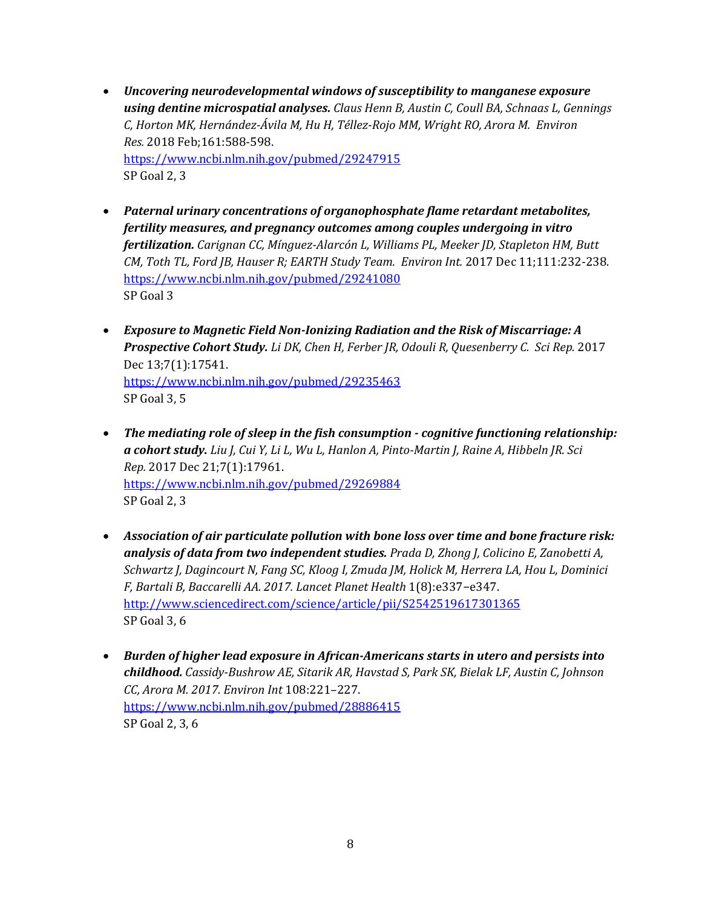- *using dentine microspatial analyses. [Claus Henn B,](https://www.ncbi.nlm.nih.gov/pubmed/?term=Claus%20Henn%20B%5BAuthor%5D&cauthor=true&cauthor_uid=29247915) [Austin C,](https://www.ncbi.nlm.nih.gov/pubmed/?term=Austin%20C%5BAuthor%5D&cauthor=true&cauthor_uid=29247915) [Coull BA,](https://www.ncbi.nlm.nih.gov/pubmed/?term=Coull%20BA%5BAuthor%5D&cauthor=true&cauthor_uid=29247915) [Schnaas L,](https://www.ncbi.nlm.nih.gov/pubmed/?term=Schnaas%20L%5BAuthor%5D&cauthor=true&cauthor_uid=29247915) [Gennings](https://www.ncbi.nlm.nih.gov/pubmed/?term=Gennings%20C%5BAuthor%5D&cauthor=true&cauthor_uid=29247915)  [C,](https://www.ncbi.nlm.nih.gov/pubmed/?term=Gennings%20C%5BAuthor%5D&cauthor=true&cauthor_uid=29247915) [Horton MK,](https://www.ncbi.nlm.nih.gov/pubmed/?term=Horton%20MK%5BAuthor%5D&cauthor=true&cauthor_uid=29247915) [Hernández-Ávila M,](https://www.ncbi.nlm.nih.gov/pubmed/?term=Hern%C3%A1ndez-%C3%81vila%20M%5BAuthor%5D&cauthor=true&cauthor_uid=29247915) [Hu H,](https://www.ncbi.nlm.nih.gov/pubmed/?term=Hu%20H%5BAuthor%5D&cauthor=true&cauthor_uid=29247915) [Téllez-Rojo MM,](https://www.ncbi.nlm.nih.gov/pubmed/?term=T%C3%A9llez-Rojo%20MM%5BAuthor%5D&cauthor=true&cauthor_uid=29247915) [Wright RO,](https://www.ncbi.nlm.nih.gov/pubmed/?term=Wright%20RO%5BAuthor%5D&cauthor=true&cauthor_uid=29247915) [Arora M.](https://www.ncbi.nlm.nih.gov/pubmed/?term=Arora%20M%5BAuthor%5D&cauthor=true&cauthor_uid=29247915) [Environ](https://www.ncbi.nlm.nih.gov/pubmed/29247915)*  • *Uncovering neurodevelopmental windows of susceptibility to manganese exposure [Res.](https://www.ncbi.nlm.nih.gov/pubmed/29247915)* 2018 Feb;161:588-598. <https://www.ncbi.nlm.nih.gov/pubmed/29247915> SP Goal 2, 3
- *fertilization. [Carignan CC,](https://www.ncbi.nlm.nih.gov/pubmed/?term=Carignan%20CC%5BAuthor%5D&cauthor=true&cauthor_uid=29241080) [Mínguez-Alarcón L,](https://www.ncbi.nlm.nih.gov/pubmed/?term=M%C3%ADnguez-Alarc%C3%B3n%20L%5BAuthor%5D&cauthor=true&cauthor_uid=29241080) [Williams PL,](https://www.ncbi.nlm.nih.gov/pubmed/?term=Williams%20PL%5BAuthor%5D&cauthor=true&cauthor_uid=29241080) [Meeker JD,](https://www.ncbi.nlm.nih.gov/pubmed/?term=Meeker%20JD%5BAuthor%5D&cauthor=true&cauthor_uid=29241080) [Stapleton HM,](https://www.ncbi.nlm.nih.gov/pubmed/?term=Stapleton%20HM%5BAuthor%5D&cauthor=true&cauthor_uid=29241080) [Butt](https://www.ncbi.nlm.nih.gov/pubmed/?term=Butt%20CM%5BAuthor%5D&cauthor=true&cauthor_uid=29241080)  [CM,](https://www.ncbi.nlm.nih.gov/pubmed/?term=Butt%20CM%5BAuthor%5D&cauthor=true&cauthor_uid=29241080) [Toth TL,](https://www.ncbi.nlm.nih.gov/pubmed/?term=Toth%20TL%5BAuthor%5D&cauthor=true&cauthor_uid=29241080) [Ford JB,](https://www.ncbi.nlm.nih.gov/pubmed/?term=Ford%20JB%5BAuthor%5D&cauthor=true&cauthor_uid=29241080) [Hauser R;](https://www.ncbi.nlm.nih.gov/pubmed/?term=Hauser%20R%5BAuthor%5D&cauthor=true&cauthor_uid=29241080) [EARTH Study Team.](https://www.ncbi.nlm.nih.gov/pubmed/?term=EARTH%20Study%20Team%5BCorporate%20Author%5D) [Environ Int.](https://www.ncbi.nlm.nih.gov/pubmed/29241080)* 2017 Dec 11;111:232-238. • *Paternal urinary concentrations of organophosphate flame retardant metabolites, fertility measures, and pregnancy outcomes among couples undergoing in vitro*  <https://www.ncbi.nlm.nih.gov/pubmed/29241080> SP Goal 3
- *Exposure to Magnetic Field Non-Ionizing Radiation and the Risk of Miscarriage: A Prospective Cohort Study. [Li DK,](https://www.ncbi.nlm.nih.gov/pubmed/?term=Li%20DK%5BAuthor%5D&cauthor=true&cauthor_uid=29235463) [Chen H,](https://www.ncbi.nlm.nih.gov/pubmed/?term=Chen%20H%5BAuthor%5D&cauthor=true&cauthor_uid=29235463) [Ferber JR,](https://www.ncbi.nlm.nih.gov/pubmed/?term=Ferber%20JR%5BAuthor%5D&cauthor=true&cauthor_uid=29235463) [Odouli R,](https://www.ncbi.nlm.nih.gov/pubmed/?term=Odouli%20R%5BAuthor%5D&cauthor=true&cauthor_uid=29235463) [Quesenberry C.](https://www.ncbi.nlm.nih.gov/pubmed/?term=Quesenberry%20C%5BAuthor%5D&cauthor=true&cauthor_uid=29235463) [Sci Rep.](https://www.ncbi.nlm.nih.gov/pubmed/29235463)* 2017 Dec 13;7(1):17541. <https://www.ncbi.nlm.nih.gov/pubmed/29235463> SP Goal 3, 5
- *a cohort study. [Liu J,](https://www.ncbi.nlm.nih.gov/pubmed/?term=Liu%20J%5BAuthor%5D&cauthor=true&cauthor_uid=29269884) [Cui Y,](https://www.ncbi.nlm.nih.gov/pubmed/?term=Cui%20Y%5BAuthor%5D&cauthor=true&cauthor_uid=29269884) [Li L,](https://www.ncbi.nlm.nih.gov/pubmed/?term=Li%20L%5BAuthor%5D&cauthor=true&cauthor_uid=29269884) [Wu L,](https://www.ncbi.nlm.nih.gov/pubmed/?term=Wu%20L%5BAuthor%5D&cauthor=true&cauthor_uid=29269884) [Hanlon A,](https://www.ncbi.nlm.nih.gov/pubmed/?term=Hanlon%20A%5BAuthor%5D&cauthor=true&cauthor_uid=29269884) [Pinto-Martin J,](https://www.ncbi.nlm.nih.gov/pubmed/?term=Pinto-Martin%20J%5BAuthor%5D&cauthor=true&cauthor_uid=29269884) [Raine A,](https://www.ncbi.nlm.nih.gov/pubmed/?term=Raine%20A%5BAuthor%5D&cauthor=true&cauthor_uid=29269884) [Hibbeln JR.](https://www.ncbi.nlm.nih.gov/pubmed/?term=Hibbeln%20JR%5BAuthor%5D&cauthor=true&cauthor_uid=29269884) [Sci](https://www.ncbi.nlm.nih.gov/pubmed/29269884)*  • *The mediating role of sleep in the fish consumption - cognitive functioning relationship: [Rep.](https://www.ncbi.nlm.nih.gov/pubmed/29269884)* 2017 Dec 21;7(1):17961. <https://www.ncbi.nlm.nih.gov/pubmed/29269884> SP Goal 2, 3
- *analysis of data from two independent studies. [Prada D, Zhong J, Colicino E, Zanobetti A,](http://www.sciencedirect.com/science/article/pii/S2542519617301365)  [Schwartz J, Dagincourt N, Fang SC, Kloog I, Zmuda JM, Holick M, Herrera LA, Hou L, Dominici](http://www.sciencedirect.com/science/article/pii/S2542519617301365)  [F, Bartali B, Baccarelli AA.](http://www.sciencedirect.com/science/article/pii/S2542519617301365) 2017. Lancet Planet Health* 1(8):e337−e347. • *Association of air particulate pollution with bone loss over time and bone fracture risk:*  <http://www.sciencedirect.com/science/article/pii/S2542519617301365> SP Goal 3, 6
- *childhood. [Cassidy-Bushrow AE, Sitarik AR, Havstad S, Park SK, Bielak LF, Austin C, Johnson](https://www.ncbi.nlm.nih.gov/pubmed/28886415)  [CC, Arora M.](https://www.ncbi.nlm.nih.gov/pubmed/28886415) 2017. Environ Int* 108:221–227. • *Burden of higher lead exposure in African-Americans starts in utero and persists into*  <https://www.ncbi.nlm.nih.gov/pubmed/28886415> SP Goal 2, 3, 6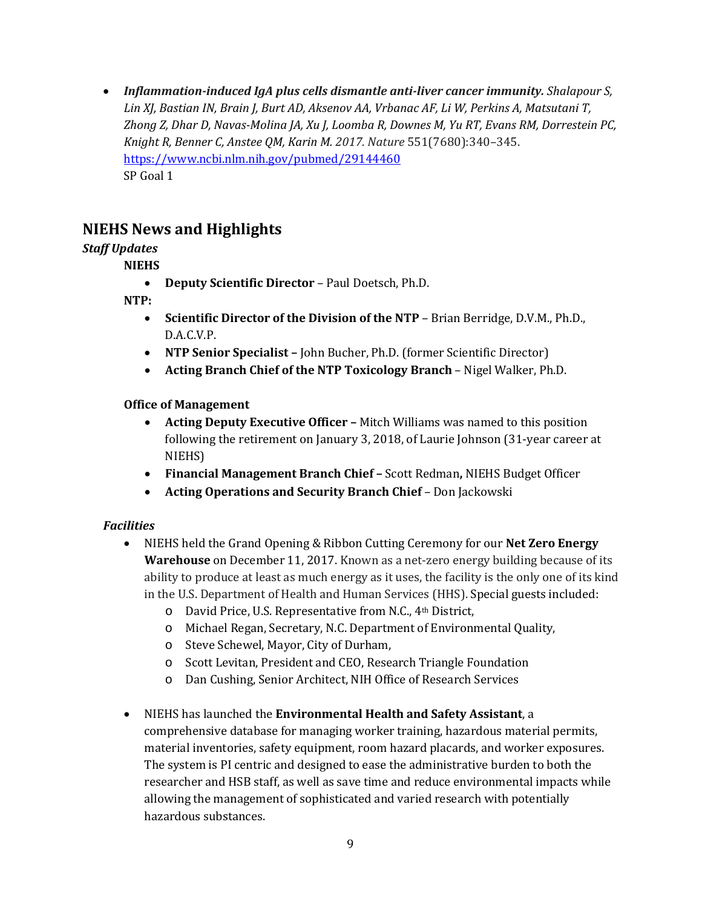• Inflammation-induced IgA plus cells dismantle anti-liver cancer immunity. Shalapour S,  *[Lin XJ, Bastian IN, Brain J, Burt AD, Aksenov AA, Vrbanac AF, Li W, Perkins A, Matsutani T,](https://www.ncbi.nlm.nih.gov/pubmed/29144460)  [Zhong Z, Dhar D, Navas-Molina JA, Xu J, Loomba R, Downes M, Yu RT, Evans RM, Dorrestein PC,](https://www.ncbi.nlm.nih.gov/pubmed/29144460)  [Knight R, Benner C, Anstee QM, Karin M.](https://www.ncbi.nlm.nih.gov/pubmed/29144460) 2017. Nature* 551(7680):340–345. <https://www.ncbi.nlm.nih.gov/pubmed/29144460> SP Goal 1

# **NIEHS News and Highlights**

# *Staff Updates*

# **NIEHS**

• **Deputy Scientific Director** – Paul Doetsch, Ph.D.

# **NTP:**

- • **Scientific Director of the Division of the NTP**  Brian Berridge, D.V.M., Ph.D., D.A.C.V.P.
- **NTP Senior Specialist** John Bucher, Ph.D. (former Scientific Director)
- **Acting Branch Chief of the NTP Toxicology Branch**  Nigel Walker, Ph.D.

# **Office of Management**

- following the retirement on January 3, 2018, of Laurie Johnson (31-year career at • **Acting Deputy Executive Officer –** Mitch Williams was named to this position NIEHS)
- **Financial Management Branch Chief** Scott Redman**,** NIEHS Budget Officer
- **Acting Operations and Security Branch Chief**  Don Jackowski

# *Facilities*

- NIEHS held the Grand Opening & Ribbon Cutting Ceremony for our **Net Zero Energy Warehouse** on December 11, 2017. Known as a net-zero energy building because of its ability to produce at least as much energy as it uses, the facility is the only one of its kind in the U.S. Department of Health and Human Services (HHS). Special guests included:
	- o David Price, U.S. Representative from N.C., 4th District,
	- o Michael Regan, Secretary, N.C. Department of Environmental Quality,
	- o Steve Schewel, Mayor, City of Durham,
	- o Scott Levitan, President and CEO, Research Triangle Foundation
	- o Dan Cushing, Senior Architect, NIH Office of Research Services
- NIEHS has launched the **Environmental Health and Safety Assistant**, a comprehensive database for managing worker training, hazardous material permits, material inventories, safety equipment, room hazard placards, and worker exposures. The system is PI centric and designed to ease the administrative burden to both the researcher and HSB staff, as well as save time and reduce environmental impacts while allowing the management of sophisticated and varied research with potentially hazardous substances.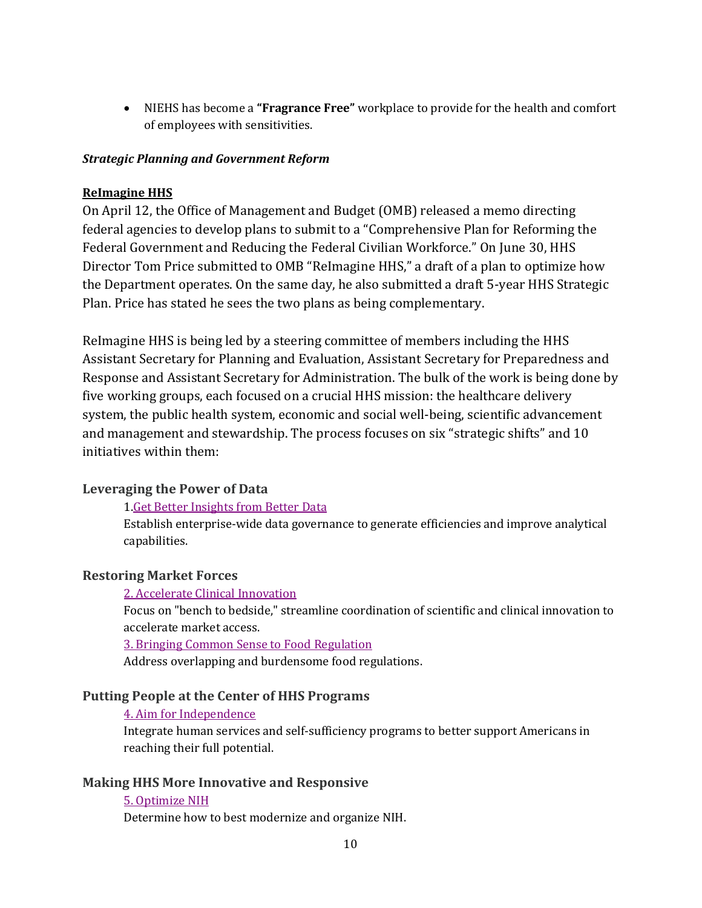• NIEHS has become a **"Fragrance Free"** workplace to provide for the health and comfort of employees with sensitivities.

#### *Strategic Planning and Government Reform*

### **ReImagine HHS**

On April 12, the Office of Management and Budget (OMB) released a memo directing federal agencies to develop plans to submit to a "Comprehensive Plan for Reforming the Federal Government and Reducing the Federal Civilian Workforce." On June 30, HHS Director Tom Price submitted to OMB "ReImagine HHS," a draft of a plan to optimize how the Department operates. On the same day, he also submitted a draft 5-year HHS Strategic Plan. Price has stated he sees the two plans as being complementary.

ReImagine HHS is being led by a steering committee of members including the HHS Assistant Secretary for Planning and Evaluation, Assistant Secretary for Preparedness and Response and Assistant Secretary for Administration. The bulk of the work is being done by five working groups, each focused on a crucial HHS mission: the healthcare delivery system, the public health system, economic and social well-being, scientific advancement and management and stewardship. The process focuses on six "strategic shifts" and 10 initiatives within them:

### **Leveraging the Power of Data**

### [1.Get Better Insights from Better Data](https://intranet.hhs.gov/reimagine/initiative/get-better-insights-from-better-data.html)

Establish enterprise-wide data governance to generate efficiencies and improve analytical capabilities.

#### **Restoring Market Forces**

#### 2. [Accelerate Clinical Innovation](https://intranet.hhs.gov/reimagine/initiative/accelerate-clinical-innovation.html)

Focus on "bench to bedside," streamline coordination of scientific and clinical innovation to accelerate market access.

3. [Bringing Common Sense to Food Regulation](https://intranet.hhs.gov/reimagine/initiative/bringing-common-sense-to-food-regulation.html) 

Address overlapping and burdensome food regulations.

### **Putting People at the Center of HHS Programs**

#### 4. [Aim for Independence](https://intranet.hhs.gov/reimagine/initiative/aim-for-independence.html)

Integrate human services and self-sufficiency programs to better support Americans in reaching their full potential.

#### **Making HHS More Innovative and Responsive**

#### 5. [Optimize NIH](https://intranet.hhs.gov/reimagine/initiative/optimize-nih.html)

Determine how to best modernize and organize NIH.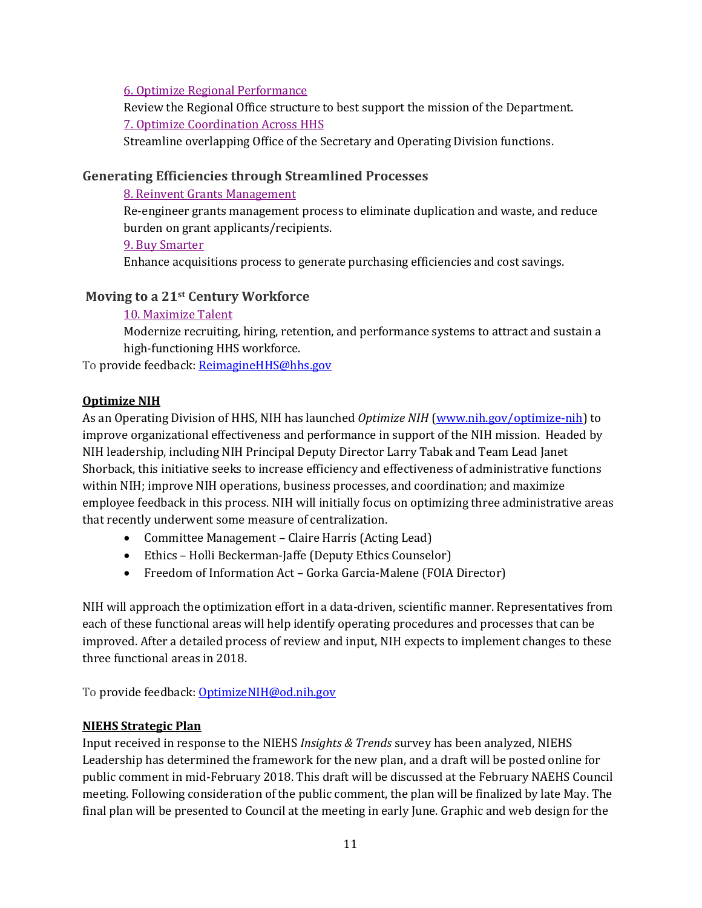6. [Optimize Regional Performance](https://intranet.hhs.gov/reimagine/initiative/optimize-regional-performance.html) 

Review the Regional Office structure to best support the mission of the Department. 7. [Optimize Coordination Across HHS](https://intranet.hhs.gov/reimagine/initiative/optimize-coordination-across-hhs.html) 

Streamline overlapping Office of the Secretary and Operating Division functions.

## **Generating Efficiencies through Streamlined Processes**

#### 8. [Reinvent Grants Management](https://intranet.hhs.gov/reimagine/initiative/reinvent-grants-management.html)

Re-engineer grants management process to eliminate duplication and waste, and reduce burden on grant applicants/recipients.

9. [Buy Smarter](https://intranet.hhs.gov/reimagine/initiative/buy-smarter.html)

Enhance acquisitions process to generate purchasing efficiencies and cost savings.

# **Moving to a 21st Century Workforce**

### [10. Maximize Talent](https://intranet.hhs.gov/reimagine/initiative/maximize-talent.html)

Modernize recruiting, hiring, retention, and performance systems to attract and sustain a high-functioning HHS workforce.

To provide feedback: ReimagineHHS@hhs.gov

### **Optimize NIH**

 As an Operating Division of HHS, NIH has launched *Optimize NIH* [\(www.nih.gov/optimize-nih\)](http://www.nih.gov/optimize-nih) to improve organizational effectiveness and performance in support of the NIH mission. Headed by Shorback, this initiative seeks to increase efficiency and effectiveness of administrative functions NIH leadership, including NIH Principal Deputy Director Larry Tabak and Team Lead Janet within NIH; improve NIH operations, business processes, and coordination; and maximize employee feedback in this process. NIH will initially focus on optimizing three administrative areas that recently underwent some measure of centralization.

- Committee Management Claire Harris (Acting Lead)
- Ethics Holli Beckerman-Jaffe (Deputy Ethics Counselor)
- Freedom of Information Act Gorka Garcia-Malene (FOIA Director)

 three functional areas in 2018. NIH will approach the optimization effort in a data-driven, scientific manner. Representatives from each of these functional areas will help identify operating procedures and processes that can be improved. After a detailed process of review and input, NIH expects to implement changes to these

To provide feedback: OptimizeNIH@od.nih.gov

# **NIEHS Strategic Plan**

 Input received in response to the NIEHS *Insights & Trends* survey has been analyzed, NIEHS Leadership has determined the framework for the new plan, and a draft will be posted online for public comment in mid-February 2018. This draft will be discussed at the February NAEHS Council meeting. Following consideration of the public comment, the plan will be finalized by late May. The final plan will be presented to Council at the meeting in early June. Graphic and web design for the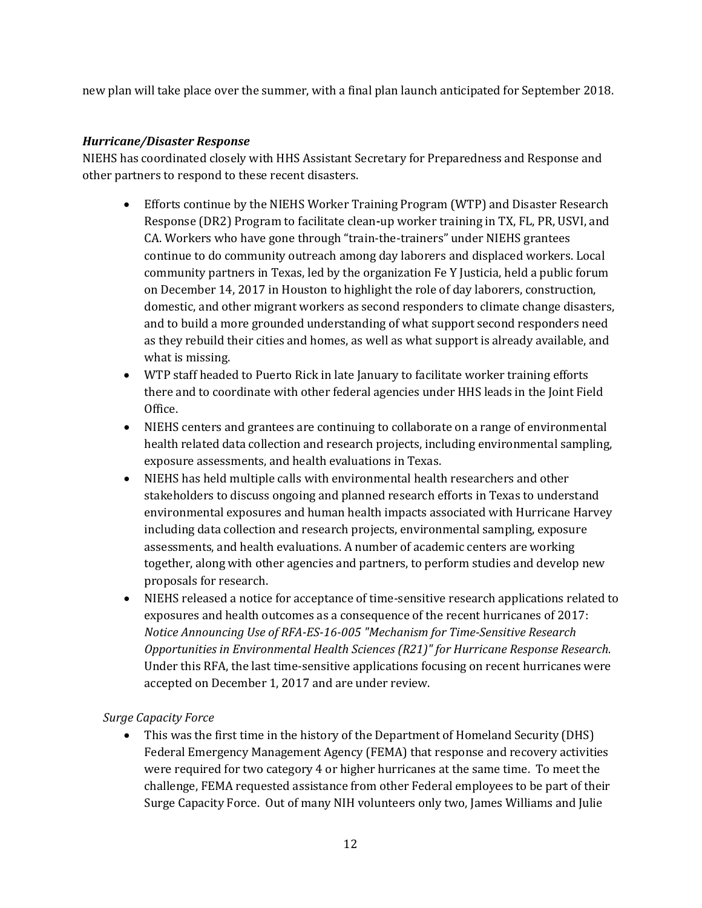new plan will take place over the summer, with a final plan launch anticipated for September 2018.

#### *Hurricane/Disaster Response*

NIEHS has coordinated closely with HHS Assistant Secretary for Preparedness and Response and other partners to respond to these recent disasters.

- • Efforts continue by the NIEHS Worker Training Program (WTP) and Disaster Research domestic, and other migrant workers as second responders to climate change disasters, Response (DR2) Program to facilitate clean**-**up worker training in TX, FL, PR, USVI, and CA. Workers who have gone through "train-the-trainers" under NIEHS grantees continue to do community outreach among day laborers and displaced workers. Local community partners in Texas, led by the organization Fe Y Justicia, held a public forum on December 14, 2017 in Houston to highlight the role of day laborers, construction, and to build a more grounded understanding of what support second responders need as they rebuild their cities and homes, as well as what support is already available, and what is missing.
- WTP staff headed to Puerto Rick in late January to facilitate worker training efforts there and to coordinate with other federal agencies under HHS leads in the Joint Field Office.
- exposure assessments, and health evaluations in Texas. • NIEHS centers and grantees are continuing to collaborate on a range of environmental health related data collection and research projects, including environmental sampling,
- • NIEHS has held multiple calls with environmental health researchers and other stakeholders to discuss ongoing and planned research efforts in Texas to understand environmental exposures and human health impacts associated with Hurricane Harvey including data collection and research projects, environmental sampling, exposure assessments, and health evaluations. A number of academic centers are working together, along with other agencies and partners, to perform studies and develop new proposals for research.
- exposures and health outcomes as a consequence of the recent hurricanes of 2017: • NIEHS released a notice for acceptance of time-sensitive research applications related to *Notice Announcing Use of RFA-ES-16-005 "Mechanism for Time-Sensitive Research Opportunities in Environmental Health Sciences (R21)" for Hurricane Response Research.*  Under this RFA, the last time-sensitive applications focusing on recent hurricanes were accepted on December 1, 2017 and are under review.

### *Surge Capacity Force*

 • This was the first time in the history of the Department of Homeland Security (DHS) were required for two category 4 or higher hurricanes at the same time. To meet the Surge Capacity Force. Out of many NIH volunteers only two, James Williams and Julie Federal Emergency Management Agency (FEMA) that response and recovery activities challenge, FEMA requested assistance from other Federal employees to be part of their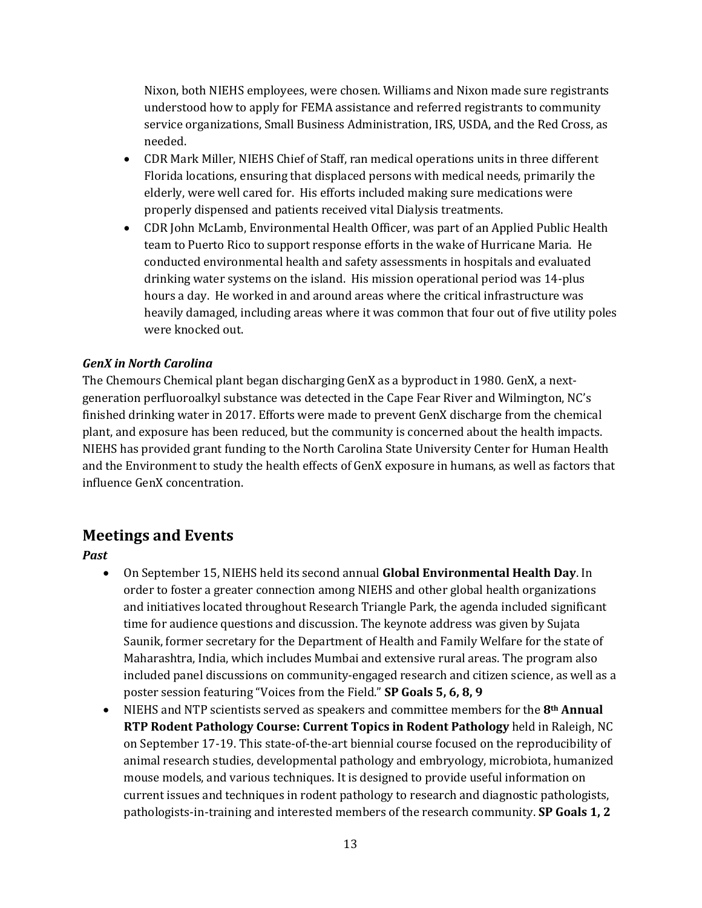Nixon, both NIEHS employees, were chosen. Williams and Nixon made sure registrants understood how to apply for FEMA assistance and referred registrants to community needed. service organizations, Small Business Administration, IRS, USDA, and the Red Cross, as

- elderly, were well cared for. His efforts included making sure medications were • CDR Mark Miller, NIEHS Chief of Staff, ran medical operations units in three different Florida locations, ensuring that displaced persons with medical needs, primarily the properly dispensed and patients received vital Dialysis treatments.
- team to Puerto Rico to support response efforts in the wake of Hurricane Maria. He drinking water systems on the island. His mission operational period was 14-plus hours a day. He worked in and around areas where the critical infrastructure was • CDR John McLamb, Environmental Health Officer, was part of an Applied Public Health conducted environmental health and safety assessments in hospitals and evaluated heavily damaged, including areas where it was common that four out of five utility poles were knocked out.

#### *GenX in North Carolina*

 generation perfluoroalkyl substance was detected in the Cape Fear River and Wilmington, NC's plant, and exposure has been reduced, but the community is concerned about the health impacts. The Chemours Chemical plant began discharging GenX as a byproduct in 1980. GenX, a nextfinished drinking water in 2017. Efforts were made to prevent GenX discharge from the chemical NIEHS has provided grant funding to the North Carolina State University Center for Human Health and the Environment to study the health effects of GenX exposure in humans, as well as factors that influence GenX concentration.

# **Meetings and Events**

*Past* 

- • On September 15, NIEHS held its second annual **Global Environmental Health Day**. In order to foster a greater connection among NIEHS and other global health organizations and initiatives located throughout Research Triangle Park, the agenda included significant time for audience questions and discussion. The keynote address was given by Sujata Saunik, former secretary for the Department of Health and Family Welfare for the state of Maharashtra, India, which includes Mumbai and extensive rural areas. The program also included panel discussions on community-engaged research and citizen science, as well as a poster session featuring "Voices from the Field." **SP Goals 5, 6, 8, 9**
- NIEHS and NTP scientists served as speakers and committee members for the **8th Annual RTP Rodent Pathology Course: Current Topics in Rodent Pathology** held in Raleigh, NC on September 17-19. This state-of-the-art biennial course focused on the reproducibility of animal research studies, developmental pathology and embryology, microbiota, humanized mouse models, and various techniques. It is designed to provide useful information on current issues and techniques in rodent pathology to research and diagnostic pathologists, pathologists-in-training and interested members of the research community. **SP Goals 1, 2**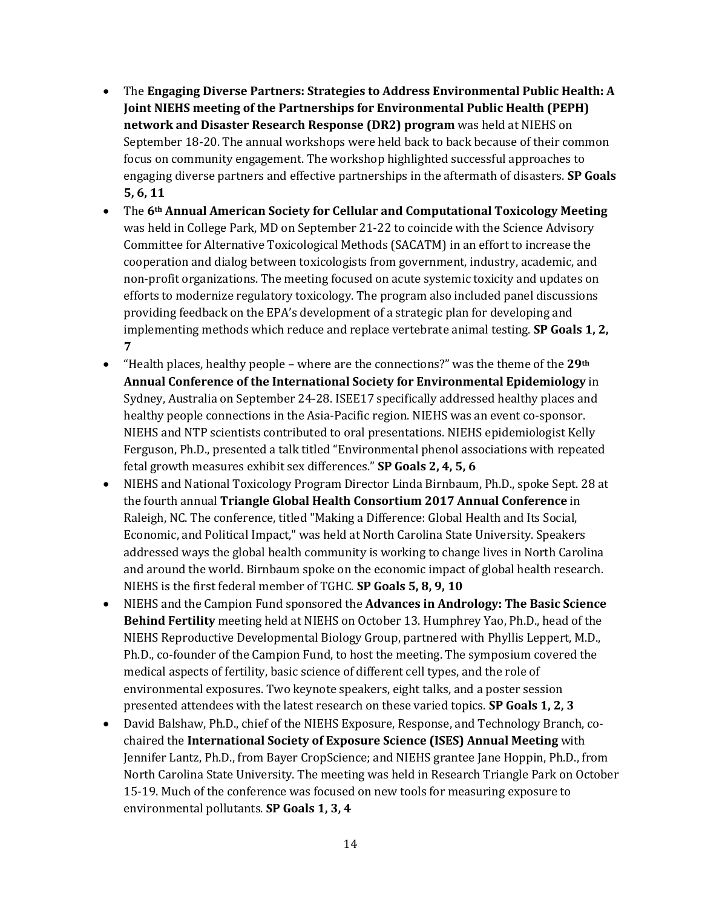- September 18-20. The annual workshops were held back to back because of their common focus on community engagement. The workshop highlighted successful approaches to • The **Engaging Diverse Partners: Strategies to Address Environmental Public Health: A Joint NIEHS meeting of the Partnerships for Environmental Public Health (PEPH) network and Disaster Research Response (DR2) program** was held at NIEHS on engaging diverse partners and effective partnerships in the aftermath of disasters. **SP Goals 5, 6, 11**
- non-profit organizations. The meeting focused on acute systemic toxicity and updates on efforts to modernize regulatory toxicology. The program also included panel discussions  implementing methods which reduce and replace vertebrate animal testing. **SP Goals 1, 2,**  • The **6th Annual American Society for Cellular and Computational Toxicology Meeting**  was held in College Park, MD on September 21-22 to coincide with the Science Advisory Committee for Alternative Toxicological Methods (SACATM) in an effort to increase the cooperation and dialog between toxicologists from government, industry, academic, and providing feedback on the EPA's development of a strategic plan for developing and **7**
- Sydney, Australia on September 24-28. ISEE17 specifically addressed healthy places and healthy people connections in the Asia-Pacific region. NIEHS was an event co-sponsor. • "Health places, healthy people – where are the connections?" was the theme of the **29th Annual Conference of the International Society for Environmental Epidemiology** in NIEHS and NTP scientists contributed to oral presentations. NIEHS epidemiologist Kelly Ferguson, Ph.D., presented a talk titled "Environmental phenol associations with repeated fetal growth measures exhibit sex differences." **SP Goals 2, 4, 5, 6**
- Economic, and Political Impact," was held at North Carolina State University. Speakers • NIEHS and National Toxicology Program Director Linda Birnbaum, Ph.D., spoke Sept. 28 at the fourth annual **Triangle Global Health Consortium 2017 Annual Conference** in Raleigh, NC. The conference, titled "Making a Difference: Global Health and Its Social, addressed ways the global health community is working to change lives in North Carolina and around the world. Birnbaum spoke on the economic impact of global health research. NIEHS is the first federal member of TGHC. **SP Goals 5, 8, 9, 10**
- **Behind Fertility** meeting held at NIEHS on October 13. Humphrey Yao, Ph.D., head of the Ph.D., co-founder of the Campion Fund, to host the meeting. The symposium covered the environmental exposures. Two keynote speakers, eight talks, and a poster session • NIEHS and the Campion Fund sponsored the **Advances in Andrology: The Basic Science**  NIEHS Reproductive Developmental Biology Group, partnered with Phyllis Leppert, M.D., medical aspects of fertility, basic science of different cell types, and the role of presented attendees with the latest research on these varied topics. **SP Goals 1, 2, 3**
- David Balshaw, Ph.D., chief of the NIEHS Exposure, Response, and Technology Branch, cochaired the **International Society of Exposure Science (ISES) Annual Meeting** with Jennifer Lantz, Ph.D., from Bayer CropScience; and NIEHS grantee Jane Hoppin, Ph.D., from North Carolina State University. The meeting was held in Research Triangle Park on October 15-19. Much of the conference was focused on new tools for measuring exposure to environmental pollutants. **SP Goals 1, 3, 4**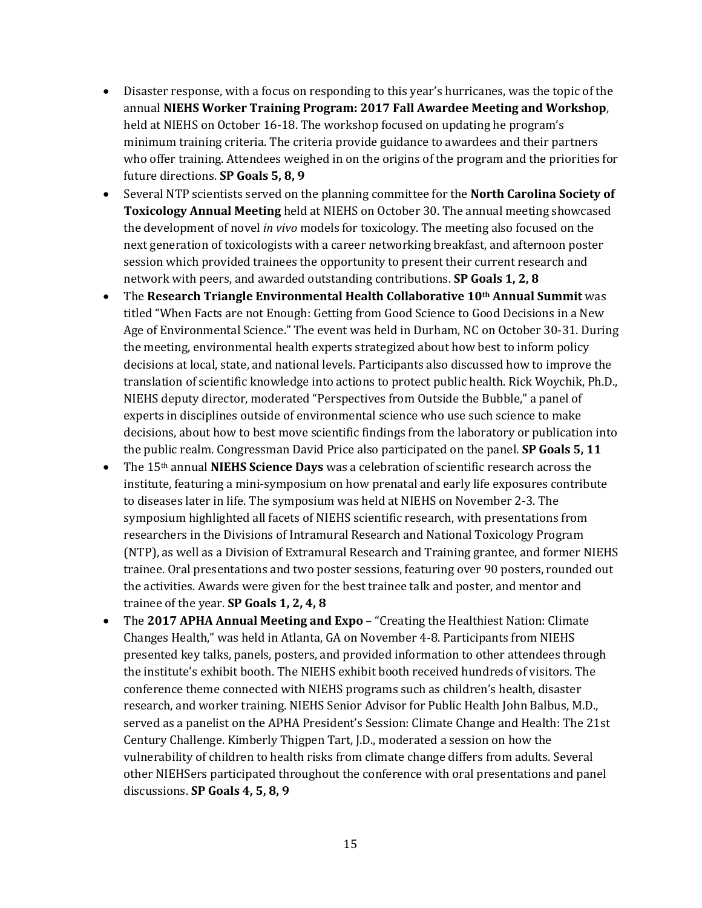- held at NIEHS on October 16-18. The workshop focused on updating he program's • Disaster response, with a focus on responding to this year's hurricanes, was the topic of the annual **NIEHS Worker Training Program: 2017 Fall Awardee Meeting and Workshop**, minimum training criteria. The criteria provide guidance to awardees and their partners who offer training. Attendees weighed in on the origins of the program and the priorities for future directions. **SP Goals 5, 8, 9**
- **Toxicology Annual Meeting** held at NIEHS on October 30. The annual meeting showcased • Several NTP scientists served on the planning committee for the **North Carolina Society of**  the development of novel *in vivo* models for toxicology. The meeting also focused on the next generation of toxicologists with a career networking breakfast, and afternoon poster session which provided trainees the opportunity to present their current research and network with peers, and awarded outstanding contributions. **SP Goals 1, 2, 8**
- decisions at local, state, and national levels. Participants also discussed how to improve the translation of scientific knowledge into actions to protect public health. Rick Woychik, Ph.D., experts in disciplines outside of environmental science who use such science to make • The **Research Triangle Environmental Health Collaborative 10<sup>th</sup> Annual Summit** was titled "When Facts are not Enough: Getting from Good Science to Good Decisions in a New Age of Environmental Science." The event was held in Durham, NC on October 30-31. During the meeting, environmental health experts strategized about how best to inform policy NIEHS deputy director, moderated "Perspectives from Outside the Bubble," a panel of decisions, about how to best move scientific findings from the laboratory or publication into the public realm. Congressman David Price also participated on the panel. **SP Goals 5, 11**
- • The 15th annual **NIEHS Science Days** was a celebration of scientific research across the to diseases later in life. The symposium was held at NIEHS on November 2-3. The institute, featuring a mini-symposium on how prenatal and early life exposures contribute symposium highlighted all facets of NIEHS scientific research, with presentations from researchers in the Divisions of Intramural Research and National Toxicology Program (NTP), as well as a Division of Extramural Research and Training grantee, and former NIEHS trainee. Oral presentations and two poster sessions, featuring over 90 posters, rounded out the activities. Awards were given for the best trainee talk and poster, and mentor and trainee of the year. **SP Goals 1, 2, 4, 8**
- • The **2017 APHA Annual Meeting and Expo**  "Creating the Healthiest Nation: Climate Changes Health," was held in Atlanta, GA on November 4-8. Participants from NIEHS the institute's exhibit booth. The NIEHS exhibit booth received hundreds of visitors. The conference theme connected with NIEHS programs such as children's health, disaster presented key talks, panels, posters, and provided information to other attendees through research, and worker training. NIEHS Senior Advisor for Public Health John Balbus, M.D., served as a panelist on the APHA President's Session: Climate Change and Health: The 21st Century Challenge. Kimberly Thigpen Tart, J.D., moderated a session on how the vulnerability of children to health risks from climate change differs from adults. Several other NIEHSers participated throughout the conference with oral presentations and panel discussions. **SP Goals 4, 5, 8, 9**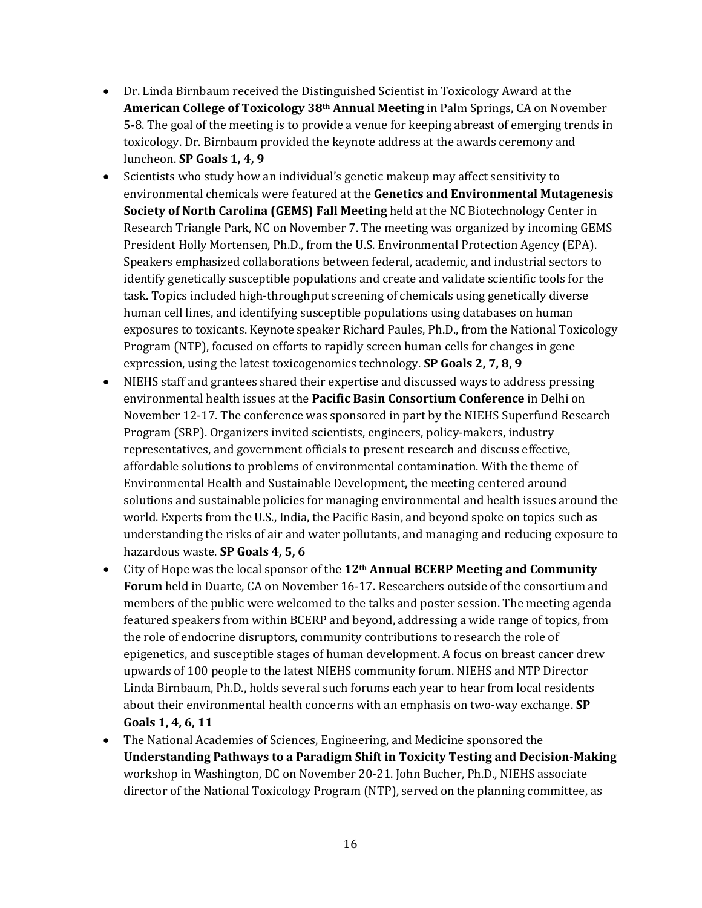- • Dr. Linda Birnbaum received the Distinguished Scientist in Toxicology Award at the **American College of Toxicology 38th Annual Meeting** in Palm Springs, CA on November  luncheon. **SP Goals 1, 4, 9**  5-8. The goal of the meeting is to provide a venue for keeping abreast of emerging trends in toxicology. Dr. Birnbaum provided the keynote address at the awards ceremony and
- human cell lines, and identifying susceptible populations using databases on human • Scientists who study how an individual's genetic makeup may affect sensitivity to environmental chemicals were featured at the **Genetics and Environmental Mutagenesis Society of North Carolina (GEMS) Fall Meeting** held at the NC Biotechnology Center in Research Triangle Park, NC on November 7. The meeting was organized by incoming GEMS President Holly Mortensen, Ph.D., from the U.S. Environmental Protection Agency (EPA). Speakers emphasized collaborations between federal, academic, and industrial sectors to identify genetically susceptible populations and create and validate scientific tools for the task. Topics included high-throughput screening of chemicals using genetically diverse exposures to toxicants. Keynote speaker Richard Paules, Ph.D., from the National Toxicology Program (NTP), focused on efforts to rapidly screen human cells for changes in gene expression, using the latest toxicogenomics technology. **SP Goals 2, 7, 8, 9**
- November 12-17. The conference was sponsored in part by the NIEHS Superfund Research solutions and sustainable policies for managing environmental and health issues around the • NIEHS staff and grantees shared their expertise and discussed ways to address pressing environmental health issues at the **Pacific Basin Consortium Conference** in Delhi on Program (SRP). Organizers invited scientists, engineers, policy-makers, industry representatives, and government officials to present research and discuss effective, affordable solutions to problems of environmental contamination. With the theme of Environmental Health and Sustainable Development, the meeting centered around world. Experts from the U.S., India, the Pacific Basin, and beyond spoke on topics such as understanding the risks of air and water pollutants, and managing and reducing exposure to hazardous waste. **SP Goals 4, 5, 6**
- **Forum** held in Duarte, CA on November 16-17. Researchers outside of the consortium and members of the public were welcomed to the talks and poster session. The meeting agenda • City of Hope was the local sponsor of the **12th Annual BCERP Meeting and Community**  featured speakers from within BCERP and beyond, addressing a wide range of topics, from the role of endocrine disruptors, community contributions to research the role of epigenetics, and susceptible stages of human development. A focus on breast cancer drew upwards of 100 people to the latest NIEHS community forum. NIEHS and NTP Director Linda Birnbaum, Ph.D., holds several such forums each year to hear from local residents about their environmental health concerns with an emphasis on two-way exchange. **SP Goals 1, 4, 6, 11**
- workshop in Washington, DC on November 20-21. John Bucher, Ph.D., NIEHS associate • The National Academies of Sciences, Engineering, and Medicine sponsored the **Understanding Pathways to a Paradigm Shift in Toxicity Testing and Decision-Making**  director of the National Toxicology Program (NTP), served on the planning committee, as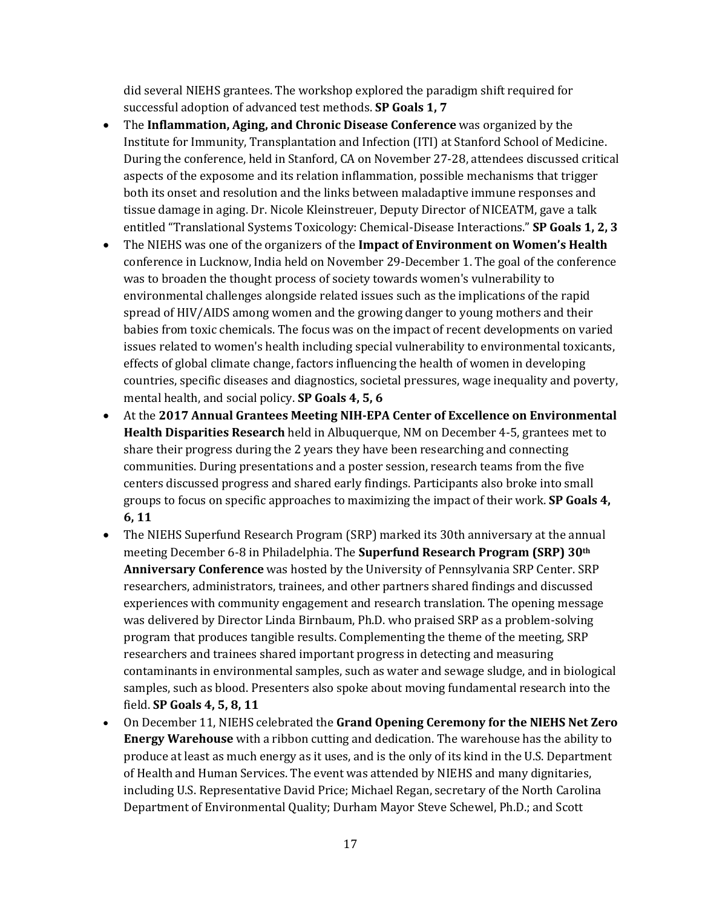did several NIEHS grantees. The workshop explored the paradigm shift required for successful adoption of advanced test methods. **SP Goals 1, 7** 

- Institute for Immunity, Transplantation and Infection (ITI) at Stanford School of Medicine.  entitled "Translational Systems Toxicology: Chemical-Disease Interactions." **SP Goals 1, 2, 3**  • The **Inflammation, Aging, and Chronic Disease Conference** was organized by the During the conference, held in Stanford, CA on November 27-28, attendees discussed critical aspects of the exposome and its relation inflammation, possible mechanisms that trigger both its onset and resolution and the links between maladaptive immune responses and tissue damage in aging. Dr. Nicole Kleinstreuer, Deputy Director of NICEATM, gave a talk
- environmental challenges alongside related issues such as the implications of the rapid • The NIEHS was one of the organizers of the **Impact of Environment on Women's Health**  conference in Lucknow, India held on November 29-December 1. The goal of the conference was to broaden the thought process of society towards women's vulnerability to spread of HIV/AIDS among women and the growing danger to young mothers and their babies from toxic chemicals. The focus was on the impact of recent developments on varied issues related to women's health including special vulnerability to environmental toxicants, effects of global climate change, factors influencing the health of women in developing countries, specific diseases and diagnostics, societal pressures, wage inequality and poverty, mental health, and social policy. **SP Goals 4, 5, 6**
- **Health Disparities Research** held in Albuquerque, NM on December 4-5, grantees met to • At the **2017 Annual Grantees Meeting NIH-EPA Center of Excellence on Environmental**  share their progress during the 2 years they have been researching and connecting communities. During presentations and a poster session, research teams from the five centers discussed progress and shared early findings. Participants also broke into small groups to focus on specific approaches to maximizing the impact of their work. **SP Goals 4, 6, 11**
- meeting December 6-8 in Philadelphia. The **Superfund Research Program (SRP) 30th**  was delivered by Director Linda Birnbaum, Ph.D. who praised SRP as a problem-solving • The NIEHS Superfund Research Program (SRP) marked its 30th anniversary at the annual **Anniversary Conference** was hosted by the University of Pennsylvania SRP Center. SRP researchers, administrators, trainees, and other partners shared findings and discussed experiences with community engagement and research translation. The opening message program that produces tangible results. Complementing the theme of the meeting, SRP researchers and trainees shared important progress in detecting and measuring contaminants in environmental samples, such as water and sewage sludge, and in biological samples, such as blood. Presenters also spoke about moving fundamental research into the field. **SP Goals 4, 5, 8, 11**
- On December 11, NIEHS celebrated the **Grand Opening Ceremony for the NIEHS Net Zero Energy Warehouse** with a ribbon cutting and dedication. The warehouse has the ability to produce at least as much energy as it uses, and is the only of its kind in the U.S. Department of Health and Human Services. The event was attended by NIEHS and many dignitaries, including U.S. Representative David Price; Michael Regan, secretary of the North Carolina Department of Environmental Quality; Durham Mayor Steve Schewel, Ph.D.; and Scott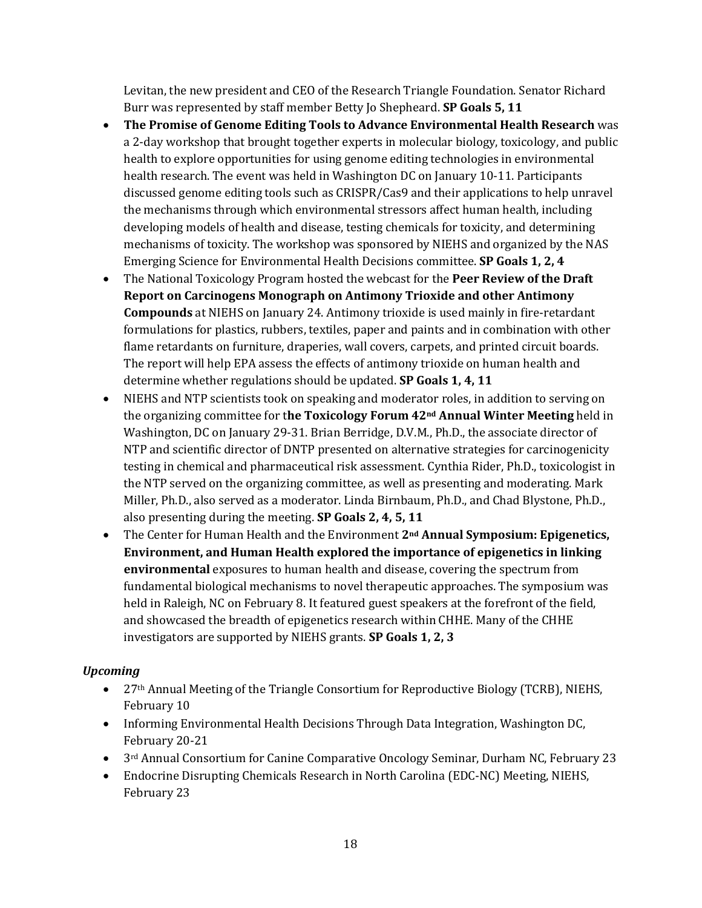Levitan, the new president and CEO of the Research Triangle Foundation. Senator Richard Burr was represented by staff member Betty Jo Shepheard. **SP Goals 5, 11** 

- **The Promise of Genome Editing Tools to Advance Environmental Health Research** was a 2-day workshop that brought together experts in molecular biology, toxicology, and public health to explore opportunities for using genome editing technologies in environmental health research. The event was held in Washington DC on January 10-11. Participants discussed genome editing tools such as CRISPR/Cas9 and their applications to help unravel the mechanisms through which environmental stressors affect human health, including developing models of health and disease, testing chemicals for toxicity, and determining mechanisms of toxicity. The workshop was sponsored by NIEHS and organized by the NAS Emerging Science for Environmental Health Decisions committee. **SP Goals 1, 2, 4**
- **Compounds** at NIEHS on January 24. Antimony trioxide is used mainly in fire-retardant  determine whether regulations should be updated. **SP Goals 1, 4, 11**  • The National Toxicology Program hosted the webcast for the **Peer Review of the Draft Report on Carcinogens Monograph on Antimony Trioxide and other Antimony**  formulations for plastics, rubbers, textiles, paper and paints and in combination with other flame retardants on furniture, draperies, wall covers, carpets, and printed circuit boards. The report will help EPA assess the effects of antimony trioxide on human health and
- NIEHS and NTP scientists took on speaking and moderator roles, in addition to serving on the organizing committee for t**he Toxicology Forum 42nd Annual Winter Meeting** held in Washington, DC on January 29-31. Brian Berridge, D.V.M., Ph.D., the associate director of NTP and scientific director of DNTP presented on alternative strategies for carcinogenicity testing in chemical and pharmaceutical risk assessment. Cynthia Rider, Ph.D., toxicologist in the NTP served on the organizing committee, as well as presenting and moderating. Mark Miller, Ph.D., also served as a moderator. Linda Birnbaum, Ph.D., and Chad Blystone, Ph.D., also presenting during the meeting. **SP Goals 2, 4, 5, 11**
- held in Raleigh, NC on February 8. It featured guest speakers at the forefront of the field, • The Center for Human Health and the Environment **2nd Annual Symposium: Epigenetics, Environment, and Human Health explored the importance of epigenetics in linking environmental** exposures to human health and disease, covering the spectrum from fundamental biological mechanisms to novel therapeutic approaches. The symposium was and showcased the breadth of epigenetics research within CHHE. Many of the CHHE investigators are supported by NIEHS grants. **SP Goals 1, 2, 3**

# *Upcoming*

- 27<sup>th</sup> Annual Meeting of the Triangle Consortium for Reproductive Biology (TCRB), NIEHS, February 10
- Informing Environmental Health Decisions Through Data Integration, Washington DC, February 20-21
- $3<sup>rd</sup>$  Annual Consortium for Canine Comparative Oncology Seminar, Durham NC, February 23
- Endocrine Disrupting Chemicals Research in North Carolina (EDC-NC) Meeting, NIEHS, February 23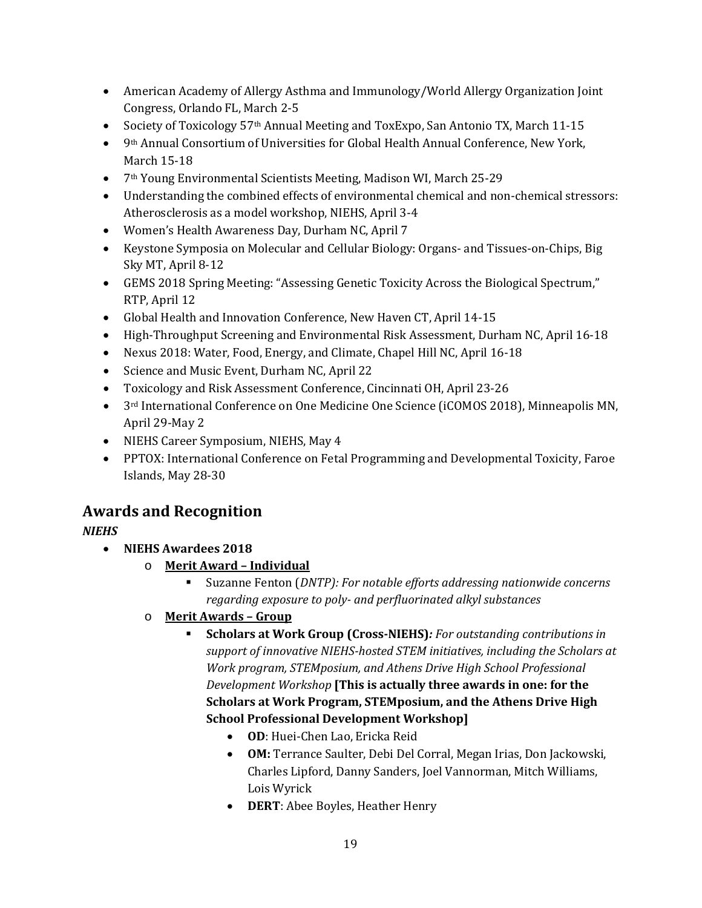- American Academy of Allergy Asthma and Immunology/World Allergy Organization Joint Congress, Orlando FL, March 2-5
- Society of Toxicology 57<sup>th</sup> Annual Meeting and ToxExpo, San Antonio TX, March 11-15
- • 9th Annual Consortium of Universities for Global Health Annual Conference, New York, March 15-18
- 7th Young Environmental Scientists Meeting, Madison WI, March 25-29
- • Understanding the combined effects of environmental chemical and non-chemical stressors: Atherosclerosis as a model workshop, NIEHS, April 3-4
- Women's Health Awareness Day, Durham NC, April 7
- Keystone Symposia on Molecular and Cellular Biology: Organs- and Tissues-on-Chips, Big Sky MT, April 8-12
- GEMS 2018 Spring Meeting: "Assessing Genetic Toxicity Across the Biological Spectrum," RTP, April 12
- Global Health and Innovation Conference, New Haven CT, April 14-15
- High-Throughput Screening and Environmental Risk Assessment, Durham NC, April 16-18
- Nexus 2018: Water, Food, Energy, and Climate, Chapel Hill NC, April 16-18
- Science and Music Event, Durham NC, April 22
- Toxicology and Risk Assessment Conference, Cincinnati OH, April 23-26
- 3<sup>rd</sup> International Conference on One Medicine One Science (iCOMOS 2018), Minneapolis MN, April 29-May 2
- NIEHS Career Symposium, NIEHS, May 4
- PPTOX: International Conference on Fetal Programming and Developmental Toxicity, Faroe Islands, May 28-30

# **Awards and Recognition**

# *NIEHS*

- **NIEHS Awardees 2018** 
	- o **Merit Award Individual** 
		- Suzanne Fenton (*DNTP): For notable efforts addressing nationwide concerns regarding exposure to poly- and perfluorinated alkyl substances*
	- o **Merit Awards Group** 
		- **School Professional Development Workshop] Scholars at Work Group (Cross-NIEHS)***: For outstanding contributions in support of innovative NIEHS-hosted STEM initiatives, including the Scholars at Work program, STEMposium, and Athens Drive High School Professional Development Workshop* **[This is actually three awards in one: for the Scholars at Work Program, STEMposium, and the Athens Drive High** 
			- **OD**: Huei-Chen Lao, Ericka Reid
			- **OM:** Terrance Saulter, Debi Del Corral, Megan Irias, Don Jackowski, Charles Lipford, Danny Sanders, Joel Vannorman, Mitch Williams, Lois Wyrick
			- **DERT**: Abee Boyles, Heather Henry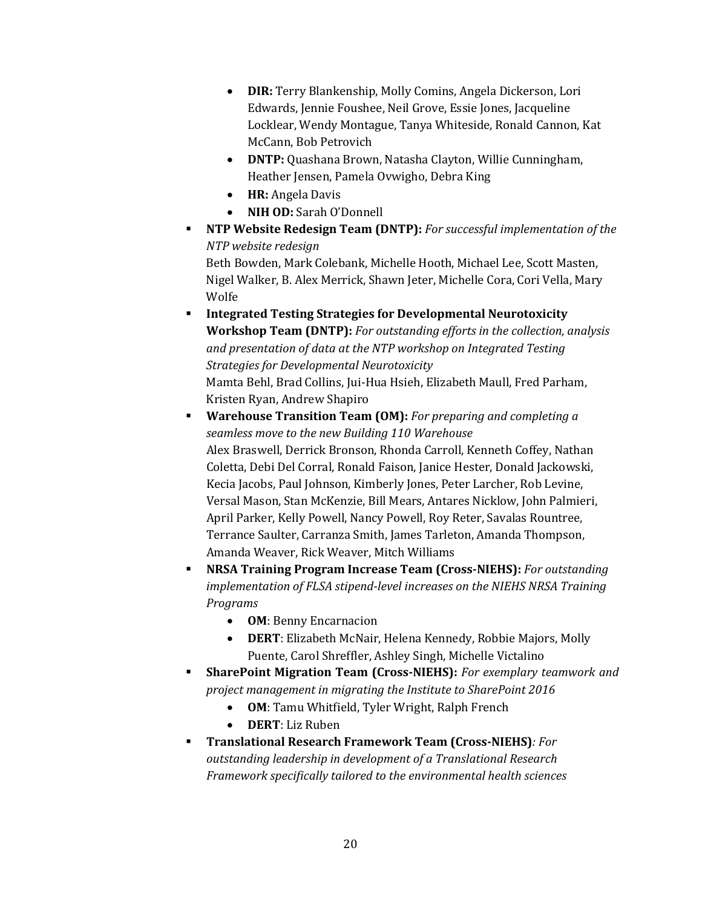- **DIR:** Terry Blankenship, Molly Comins, Angela Dickerson, Lori Edwards, Jennie Foushee, Neil Grove, Essie Jones, Jacqueline Locklear, Wendy Montague, Tanya Whiteside, Ronald Cannon, Kat McCann, Bob Petrovich
- **DNTP:** Quashana Brown, Natasha Clayton, Willie Cunningham, Heather Jensen, Pamela Ovwigho, Debra King
- **HR:** Angela Davis
- **NIH OD:** Sarah O'Donnell
- **NTP Website Redesign Team (DNTP):** *For successful implementation of the NTP website redesign*

Beth Bowden, Mark Colebank, Michelle Hooth, Michael Lee, Scott Masten, Nigel Walker, B. Alex Merrick, Shawn Jeter, Michelle Cora, Cori Vella, Mary Wolfe

- Mamta Behl, Brad Collins, Jui-Hua Hsieh, Elizabeth Maull, Fred Parham, **Integrated Testing Strategies for Developmental Neurotoxicity Workshop Team (DNTP):** *For outstanding efforts in the collection, analysis and presentation of data at the NTP workshop on Integrated Testing Strategies for Developmental Neurotoxicity*  Kristen Ryan, Andrew Shapiro
- **Warehouse Transition Team (OM):** *For preparing and completing a seamless move to the new Building 110 Warehouse*  Alex Braswell, Derrick Bronson, Rhonda Carroll, Kenneth Coffey, Nathan Coletta, Debi Del Corral, Ronald Faison, Janice Hester, Donald Jackowski, Kecia Jacobs, Paul Johnson, Kimberly Jones, Peter Larcher, Rob Levine, Versal Mason, Stan McKenzie, Bill Mears, Antares Nicklow, John Palmieri, April Parker, Kelly Powell, Nancy Powell, Roy Reter, Savalas Rountree, Terrance Saulter, Carranza Smith, James Tarleton, Amanda Thompson, Amanda Weaver, Rick Weaver, Mitch Williams
- **NRSA Training Program Increase Team (Cross-NIEHS):** *For outstanding implementation of FLSA stipend-level increases on the NIEHS NRSA Training Programs* 
	- **OM**: Benny Encarnacion
	- **DERT**: Elizabeth McNair, Helena Kennedy, Robbie Majors, Molly Puente, Carol Shreffler, Ashley Singh, Michelle Victalino
- *project management in migrating the Institute to SharePoint 2016*  **SharePoint Migration Team (Cross-NIEHS):** *For exemplary teamwork and* 
	- **OM**: Tamu Whitfield, Tyler Wright, Ralph French
	- **DERT**: Liz Ruben
- **Translational Research Framework Team (Cross-NIEHS)***: For outstanding leadership in development of a Translational Research Framework specifically tailored to the environmental health sciences*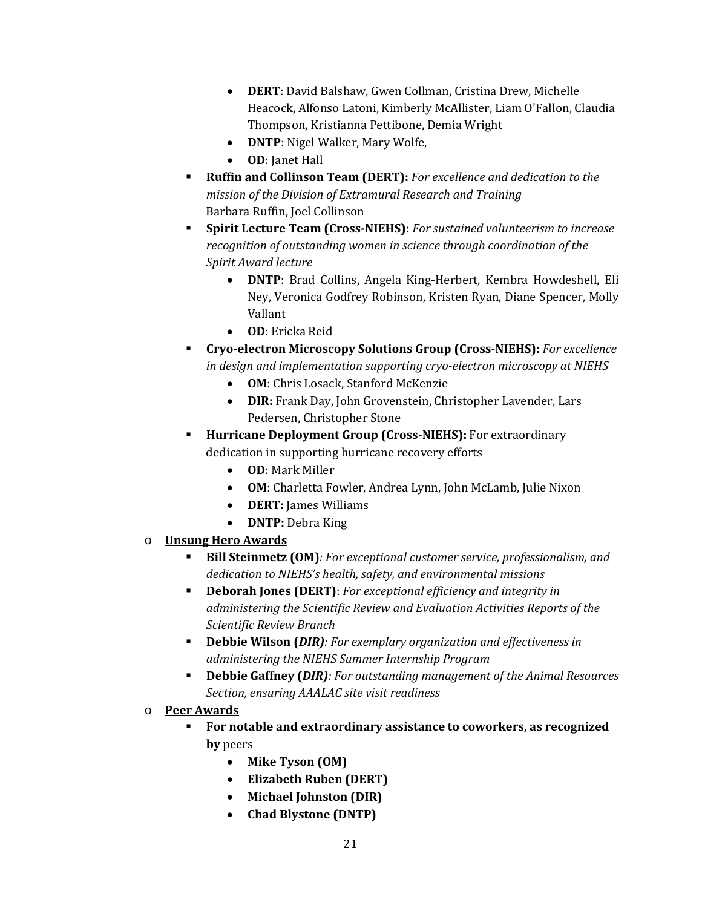- **DERT**: David Balshaw, Gwen Collman, Cristina Drew, Michelle Heacock, Alfonso Latoni, Kimberly McAllister, Liam O'Fallon, Claudia Thompson, Kristianna Pettibone, Demia Wright
- **DNTP**: Nigel Walker, Mary Wolfe,
- **OD**: Janet Hall
- **Ruffin and Collinson Team (DERT):** *For excellence and dedication to the mission of the Division of Extramural Research and Training*  Barbara Ruffin, Joel Collinson
- **Spirit Lecture Team (Cross-NIEHS):** *For sustained volunteerism to increase recognition of outstanding women in science through coordination of the Spirit Award lecture* 
	- **DNTP**: Brad Collins, Angela King-Herbert, Kembra Howdeshell, Eli Ney, Veronica Godfrey Robinson, Kristen Ryan, Diane Spencer, Molly Vallant
	- **OD**: Ericka Reid
- **Cryo-electron Microscopy Solutions Group (Cross-NIEHS):** *For excellence in design and implementation supporting cryo-electron microscopy at NIEHS* 
	- **OM**: Chris Losack, Stanford McKenzie
	- **DIR:** Frank Day, John Grovenstein, Christopher Lavender, Lars Pedersen, Christopher Stone
- **Hurricane Deployment Group (Cross-NIEHS):** For extraordinary dedication in supporting hurricane recovery efforts
	- **OD**: Mark Miller
	- **OM**: Charletta Fowler, Andrea Lynn, John McLamb, Julie Nixon
	- **DERT:** James Williams
	- **DNTP:** Debra King
- o **Unsung Hero Awards** 
	- **Bill Steinmetz (OM)***: For exceptional customer service, professionalism, and dedication to NIEHS's health, safety, and environmental missions*
	- *administering the Scientific Review and Evaluation Activities Reports of the*  **Deborah Jones (DERT)**: *For exceptional efficiency and integrity in Scientific Review Branch*
	- **Debbie Wilson (***DIR): For exemplary organization and effectiveness in administering the NIEHS Summer Internship Program*
	- **Debbie Gaffney (***DIR): For outstanding management of the Animal Resources Section, ensuring AAALAC site visit readiness*

### o **Peer Awards**

- **For notable and extraordinary assistance to coworkers, as recognized by** peers
	- **Mike Tyson (OM)**
	- **Elizabeth Ruben (DERT)**
	- **Michael Johnston (DIR)**
	- **Chad Blystone (DNTP)**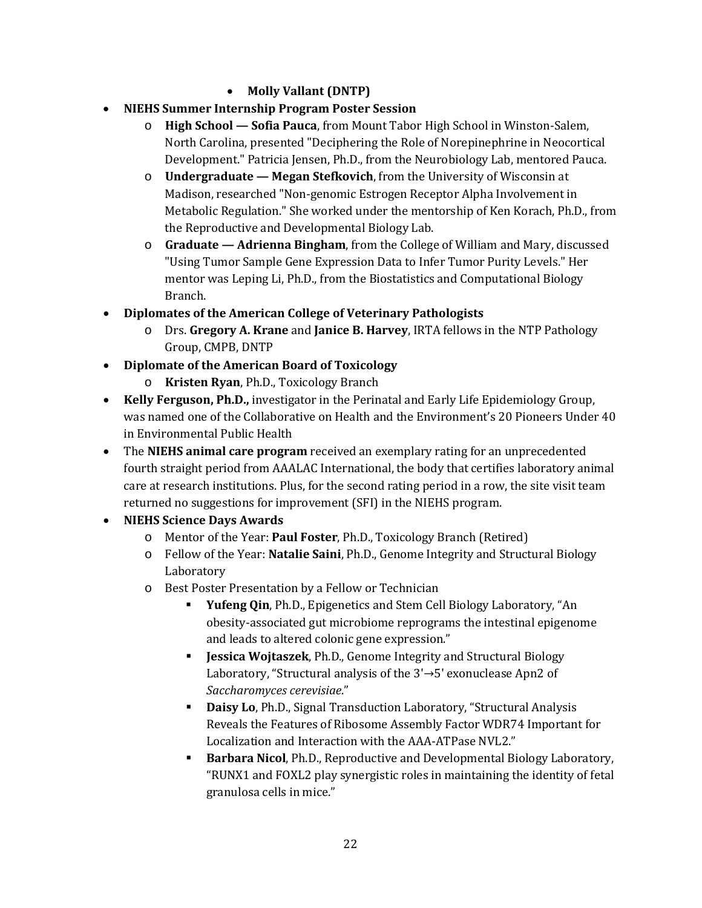# • **Molly Vallant (DNTP)**

- **NIEHS Summer Internship Program Poster Session** 
	- North Carolina, presented "Deciphering the Role of Norepinephrine in Neocortical o **High School — Sofia Pauca**, from Mount Tabor High School in Winston-Salem, Development." Patricia Jensen, Ph.D., from the Neurobiology Lab, mentored Pauca.
	- o **Undergraduate Megan Stefkovich**, from the University of Wisconsin at Madison, researched "Non-genomic Estrogen Receptor Alpha Involvement in Metabolic Regulation." She worked under the mentorship of Ken Korach, Ph.D., from the Reproductive and Developmental Biology Lab.
	- "Using Tumor Sample Gene Expression Data to Infer Tumor Purity Levels." Her o **Graduate — Adrienna Bingham**, from the College of William and Mary, discussed mentor was Leping Li, Ph.D., from the Biostatistics and Computational Biology Branch.
- **Diplomates of the American College of Veterinary Pathologists** 
	- o Drs. **Gregory A. Krane** and **Janice B. Harvey**, IRTA fellows in the NTP Pathology Group, CMPB, DNTP
- **Diplomate of the American Board of Toxicology** 
	- o **Kristen Ryan**, Ph.D., Toxicology Branch
- was named one of the Collaborative on Health and the Environment's 20 Pioneers Under 40 • **Kelly Ferguson, Ph.D.,** investigator in the Perinatal and Early Life Epidemiology Group, in Environmental Public Health
- The **NIEHS animal care program** received an exemplary rating for an unprecedented fourth straight period from AAALAC International, the body that certifies laboratory animal care at research institutions. Plus, for the second rating period in a row, the site visit team returned no suggestions for improvement (SFI) in the NIEHS program.
- **NIEHS Science Days Awards** 
	- o Mentor of the Year: **Paul Foster**, Ph.D., Toxicology Branch (Retired)
	- o Fellow of the Year: **Natalie Saini**, Ph.D., Genome Integrity and Structural Biology Laboratory
	- o Best Poster Presentation by a Fellow or Technician
		- **Yufeng Qin**, Ph.D., Epigenetics and Stem Cell Biology Laboratory, "An obesity-associated gut microbiome reprograms the intestinal epigenome and leads to altered colonic gene expression."
		- **Jessica Wojtaszek**, Ph.D., Genome Integrity and Structural Biology Laboratory, "Structural analysis of the 3ʹ→5ʹ exonuclease Apn2 of *Saccharomyces cerevisiae*."
		- **Daisy Lo**, Ph.D., Signal Transduction Laboratory, "Structural Analysis Reveals the Features of Ribosome Assembly Factor WDR74 Important for Localization and Interaction with the AAA-ATPase NVL2."
		- **Barbara Nicol**, Ph.D., Reproductive and Developmental Biology Laboratory, "RUNX1 and FOXL2 play synergistic roles in maintaining the identity of fetal granulosa cells in mice."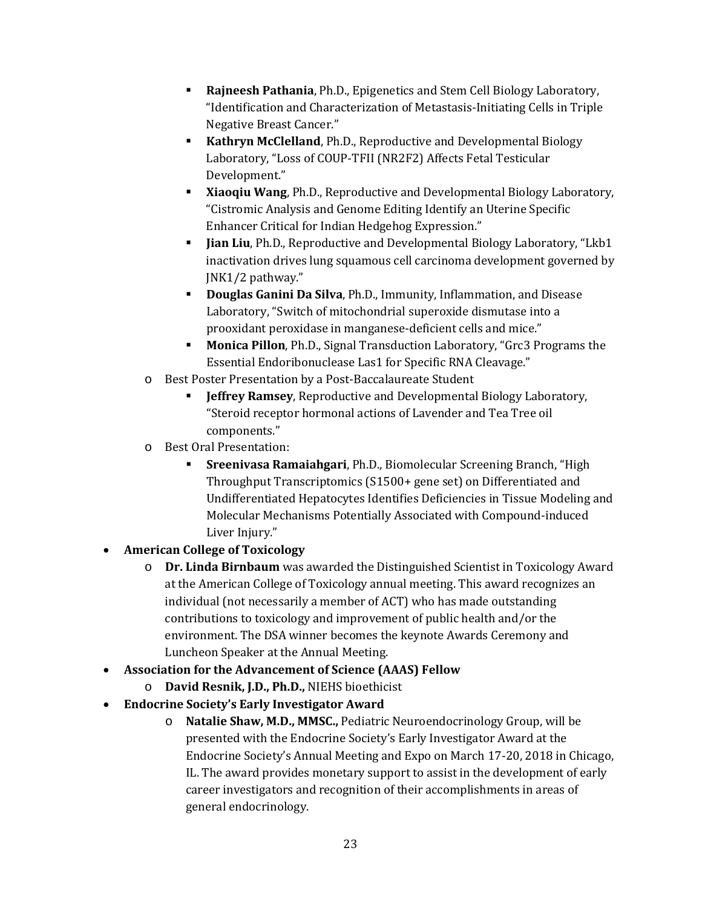- **Rajneesh Pathania**, Ph.D., Epigenetics and Stem Cell Biology Laboratory, "Identification and Characterization of Metastasis-Initiating Cells in Triple Negative Breast Cancer."
- **Kathryn McClelland**, Ph.D., Reproductive and Developmental Biology Laboratory, "Loss of COUP-TFII (NR2F2) Affects Fetal Testicular Development."
- **Xiaoqiu Wang**, Ph.D., Reproductive and Developmental Biology Laboratory, "Cistromic Analysis and Genome Editing Identify an Uterine Specific Enhancer Critical for Indian Hedgehog Expression."
- **Jian Liu**, Ph.D., Reproductive and Developmental Biology Laboratory, "Lkb1 inactivation drives lung squamous cell carcinoma development governed by JNK1/2 pathway."
- **Douglas Ganini Da Silva**, Ph.D., Immunity, Inflammation, and Disease Laboratory, "Switch of mitochondrial superoxide dismutase into a prooxidant peroxidase in manganese-deficient cells and mice."
- Essential Endoribonuclease Las1 for Specific RNA Cleavage." **Monica Pillon**, Ph.D., Signal Transduction Laboratory, "Grc3 Programs the
- o Best Poster Presentation by a Post-Baccalaureate Student
	- **Jeffrey Ramsey**, Reproductive and Developmental Biology Laboratory, "Steroid receptor hormonal actions of Lavender and Tea Tree oil components."
- o Best Oral Presentation:
	- **Sreenivasa Ramaiahgari**, Ph.D., Biomolecular Screening Branch, "High Throughput Transcriptomics (S1500+ gene set) on Differentiated and Undifferentiated Hepatocytes Identifies Deficiencies in Tissue Modeling and Molecular Mechanisms Potentially Associated with Compound-induced Liver Injury."

# • **American College of Toxicology**

- o **Dr. Linda Birnbaum** was awarded the Distinguished Scientist in Toxicology Award individual (not necessarily a member of ACT) who has made outstanding at the American College of Toxicology annual meeting. This award recognizes an contributions to toxicology and improvement of public health and/or the environment. The DSA winner becomes the keynote Awards Ceremony and Luncheon Speaker at the Annual Meeting.
- **Association for the Advancement of Science (AAAS) Fellow** 
	- o **David Resnik, J.D., Ph.D.,** NIEHS bioethicist
- **Endocrine Society's Early Investigator Award** 
	- o **Natalie Shaw, M.D., MMSC.,** Pediatric Neuroendocrinology Group, will be presented with the Endocrine Society's Early Investigator Award at the Endocrine Society's Annual Meeting and Expo on March 17-20, 2018 in Chicago, IL. The award provides monetary support to assist in the development of early career investigators and recognition of their accomplishments in areas of general endocrinology.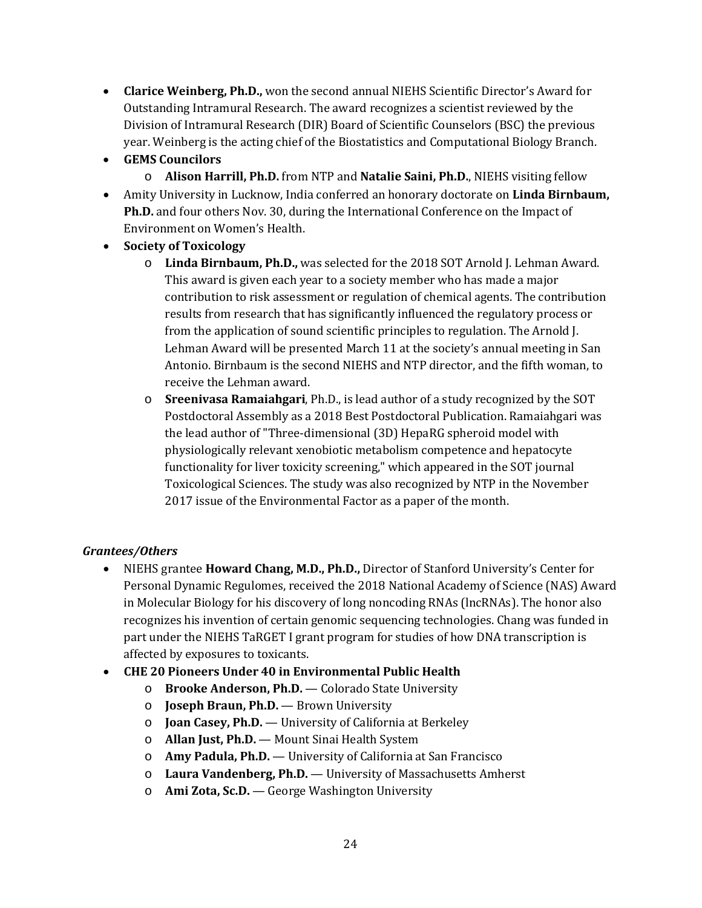- **Clarice Weinberg, Ph.D.,** won the second annual NIEHS Scientific Director's Award for Outstanding Intramural Research. The award recognizes a scientist reviewed by the Division of Intramural Research (DIR) Board of Scientific Counselors (BSC) the previous year. Weinberg is the acting chief of the Biostatistics and Computational Biology Branch.
- **GEMS Councilors** 
	- o **Alison Harrill, Ph.D.** from NTP and **Natalie Saini, Ph.D.**, NIEHS visiting fellow
- **Ph.D.** and four others Nov. 30, during the International Conference on the Impact of • Amity University in Lucknow, India conferred an honorary doctorate on **Linda Birnbaum,**  Environment on Women's Health.
- **Society of Toxicology** 
	- o **Linda Birnbaum, Ph.D.,** was selected for the 2018 SOT Arnold J. Lehman Award. results from research that has significantly influenced the regulatory process or This award is given each year to a society member who has made a major contribution to risk assessment or regulation of chemical agents. The contribution from the application of sound scientific principles to regulation. The Arnold J. Lehman Award will be presented March 11 at the society's annual meeting in San Antonio. Birnbaum is the second NIEHS and NTP director, and the fifth woman, to receive the Lehman award.
	- Postdoctoral Assembly as a 2018 Best Postdoctoral Publication. Ramaiahgari was the lead author of "Three-dimensional (3D) HepaRG spheroid model with o **Sreenivasa Ramaiahgari**, Ph.D., is lead author of a study recognized by the SOT physiologically relevant xenobiotic metabolism competence and hepatocyte functionality for liver toxicity screening," which appeared in the SOT journal Toxicological Sciences. The study was also recognized by NTP in the November 2017 issue of the Environmental Factor as a paper of the month.

# *Grantees/Others*

- • NIEHS grantee **Howard Chang, M.D., Ph.D.,** Director of Stanford University's Center for part under the NIEHS TaRGET I grant program for studies of how DNA transcription is Personal Dynamic Regulomes, received the 2018 National Academy of Science (NAS) Award in Molecular Biology for his discovery of long noncoding RNAs (lncRNAs). The honor also recognizes his invention of certain genomic sequencing technologies. Chang was funded in affected by exposures to toxicants.
- **CHE 20 Pioneers Under 40 in Environmental Public Health** 
	- o **Brooke Anderson, Ph.D.**  Colorado State University
	- o **Joseph Braun, Ph.D.**  Brown University
	- o **Joan Casey, Ph.D.**  University of California at Berkeley
	- o **Allan Just, Ph.D.**  Mount Sinai Health System
	- o **Amy Padula, Ph.D.**  University of California at San Francisco
	- o **Laura Vandenberg, Ph.D.**  University of Massachusetts Amherst
	- o **Ami Zota, Sc.D.**  George Washington University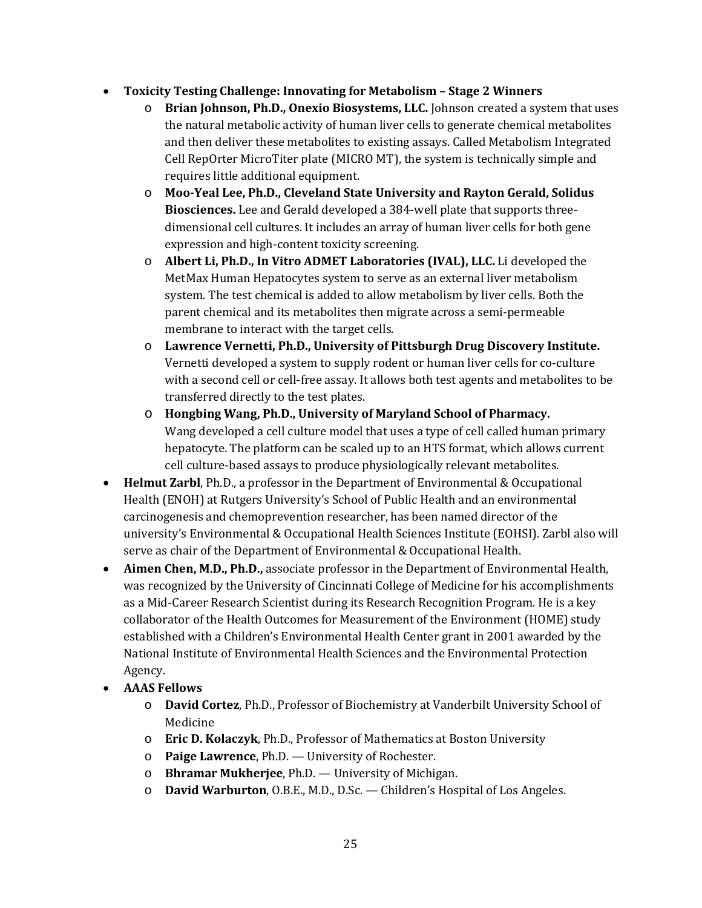# • **Toxicity Testing Challenge: Innovating for Metabolism – Stage 2 Winners**

- Cell RepOrter MicroTiter plate (MICRO MT), the system is technically simple and o **Brian Johnson, Ph.D., Onexio Biosystems, LLC.** Johnson created a system that uses the natural metabolic activity of human liver cells to generate chemical metabolites and then deliver these metabolites to existing assays. Called Metabolism Integrated requires little additional equipment.
- o **Moo-Yeal Lee, Ph.D., Cleveland State University and Rayton Gerald, Solidus Biosciences.** Lee and Gerald developed a 384-well plate that supports threedimensional cell cultures. It includes an array of human liver cells for both gene expression and high-content toxicity screening.
- o **Albert Li, Ph.D., In Vitro ADMET Laboratories (IVAL), LLC.** Li developed the MetMax Human Hepatocytes system to serve as an external liver metabolism system. The test chemical is added to allow metabolism by liver cells. Both the parent chemical and its metabolites then migrate across a semi-permeable membrane to interact with the target cells.
- Vernetti developed a system to supply rodent or human liver cells for co-culture o **Lawrence Vernetti, Ph.D., University of Pittsburgh Drug Discovery Institute.**  with a second cell or cell-free assay. It allows both test agents and metabolites to be transferred directly to the test plates.
- hepatocyte. The platform can be scaled up to an HTS format, which allows current o **Hongbing Wang, Ph.D., University of Maryland School of Pharmacy.**  Wang developed a cell culture model that uses a type of cell called human primary cell culture-based assays to produce physiologically relevant metabolites.
- **Helmut Zarbl**, Ph.D., a professor in the Department of Environmental & Occupational Health (ENOH) at Rutgers University's School of Public Health and an environmental carcinogenesis and chemoprevention researcher, has been named director of the university's Environmental & Occupational Health Sciences Institute (EOHSI). Zarbl also will serve as chair of the Department of Environmental & Occupational Health.
- **Aimen Chen, M.D., Ph.D.,** associate professor in the Department of Environmental Health, was recognized by the University of Cincinnati College of Medicine for his accomplishments as a Mid-Career Research Scientist during its Research Recognition Program. He is a key collaborator of the Health Outcomes for Measurement of the Environment (HOME) study established with a Children's Environmental Health Center grant in 2001 awarded by the National Institute of Environmental Health Sciences and the Environmental Protection Agency.
- **AAAS Fellows** 
	- o **David Cortez**, Ph.D., Professor of Biochemistry at Vanderbilt University School of Medicine
	- o **Eric D. Kolaczyk**, Ph.D., Professor of Mathematics at Boston University
	- o **Paige Lawrence**, Ph.D. University of Rochester.
	- o **Bhramar Mukherjee**, Ph.D. University of Michigan.
	- o **David Warburton**, O.B.E., M.D., D.Sc. Children's Hospital of Los Angeles.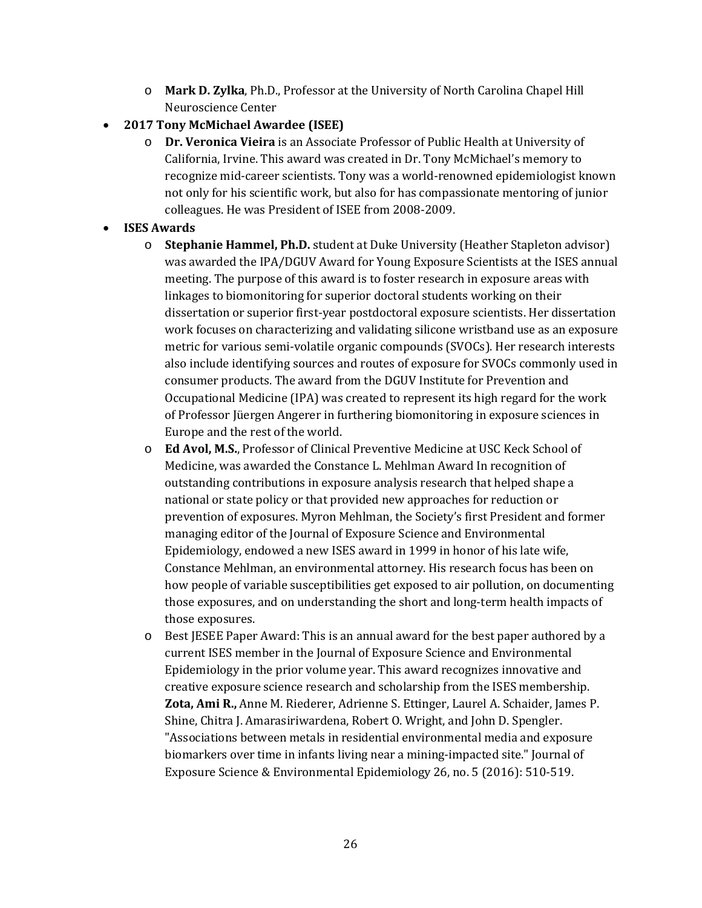- o **Mark D. Zylka**, Ph.D., Professor at the University of North Carolina Chapel Hill Neuroscience Center
- **2017 Tony McMichael Awardee (ISEE)** 
	- California, Irvine. This award was created in Dr. Tony McMichael's memory to not only for his scientific work, but also for has compassionate mentoring of junior o **Dr. Veronica Vieira** is an Associate Professor of Public Health at University of recognize mid-career scientists. Tony was a world-renowned epidemiologist known colleagues. He was President of ISEE from 2008-2009.

## • **ISES Awards**

- also include identifying sources and routes of exposure for SVOCs commonly used in of Professor Jüergen Angerer in furthering biomonitoring in exposure sciences in o **Stephanie Hammel, Ph.D.** student at Duke University (Heather Stapleton advisor) was awarded the IPA/DGUV Award for Young Exposure Scientists at the ISES annual meeting. The purpose of this award is to foster research in exposure areas with linkages to biomonitoring for superior doctoral students working on their dissertation or superior first-year postdoctoral exposure scientists. Her dissertation work focuses on characterizing and validating silicone wristband use as an exposure metric for various semi-volatile organic compounds (SVOCs). Her research interests consumer products. The award from the DGUV Institute for Prevention and Occupational Medicine (IPA) was created to represent its high regard for the work Europe and the rest of the world.
- Constance Mehlman, an environmental attorney. His research focus has been on o **Ed Avol, M.S.**, Professor of Clinical Preventive Medicine at USC Keck School of Medicine, was awarded the Constance L. Mehlman Award In recognition of outstanding contributions in exposure analysis research that helped shape a national or state policy or that provided new approaches for reduction or prevention of exposures. Myron Mehlman, the Society's first President and former managing editor of the Journal of Exposure Science and Environmental Epidemiology, endowed a new ISES award in 1999 in honor of his late wife, how people of variable susceptibilities get exposed to air pollution, on documenting those exposures, and on understanding the short and long-term health impacts of those exposures.
- o Best JESEE Paper Award: This is an annual award for the best paper authored by a current ISES member in the Journal of Exposure Science and Environmental Epidemiology in the prior volume year. This award recognizes innovative and creative exposure science research and scholarship from the ISES membership. **Zota, Ami R.,** Anne M. Riederer, Adrienne S. Ettinger, Laurel A. Schaider, James P. Shine, Chitra J. Amarasiriwardena, Robert O. Wright, and John D. Spengler. "Associations between metals in residential environmental media and exposure biomarkers over time in infants living near a mining-impacted site." Journal of Exposure Science & Environmental Epidemiology 26, no. 5 (2016): 510-519.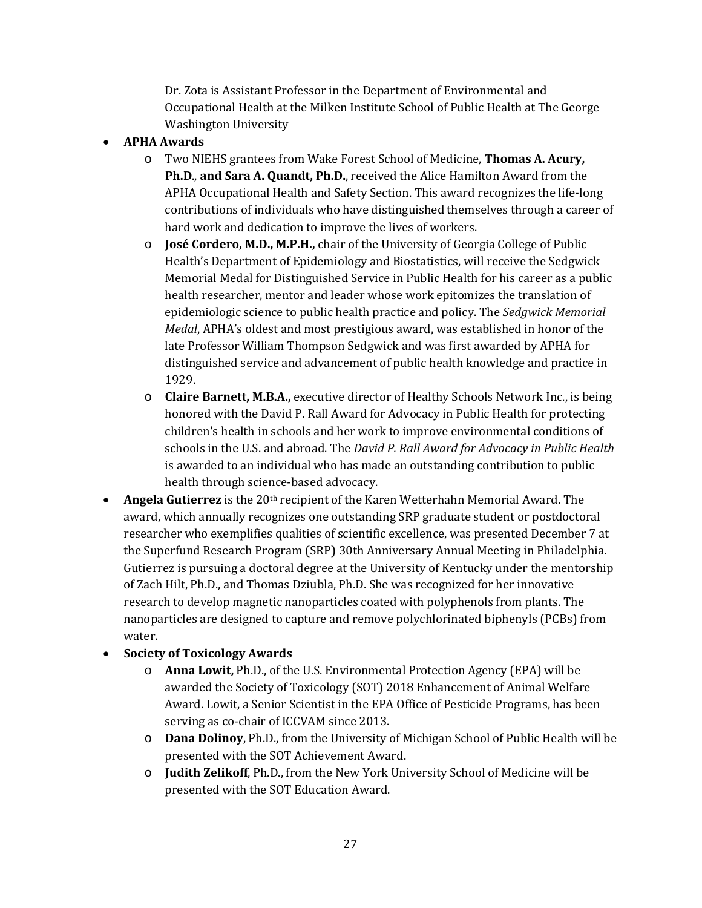Dr. Zota is Assistant Professor in the Department of Environmental and Occupational Health at the Milken Institute School of Public Health at The George Washington University

- **APHA Awards** 
	- o Two NIEHS grantees from Wake Forest School of Medicine, **Thomas A. Acury, Ph.D**., **and Sara A. Quandt, Ph.D.**, received the Alice Hamilton Award from the APHA Occupational Health and Safety Section. This award recognizes the life-long contributions of individuals who have distinguished themselves through a career of hard work and dedication to improve the lives of workers.
	- Memorial Medal for Distinguished Service in Public Health for his career as a public epidemiologic science to public health practice and policy. The *Sedgwick Memorial*  o **José Cordero, M.D., M.P.H.,** chair of the University of Georgia College of Public Health's Department of Epidemiology and Biostatistics, will receive the Sedgwick health researcher, mentor and leader whose work epitomizes the translation of *Medal*, APHA's oldest and most prestigious award, was established in honor of the late Professor William Thompson Sedgwick and was first awarded by APHA for distinguished service and advancement of public health knowledge and practice in 1929.
	- o **Claire Barnett, M.B.A.,** executive director of Healthy Schools Network Inc., is being honored with the David P. Rall Award for Advocacy in Public Health for protecting children's health in schools and her work to improve environmental conditions of schools in the U.S. and abroad. The *David P. Rall Award for Advocacy in Public Health*  is awarded to an individual who has made an outstanding contribution to public health through science-based advocacy.
- **Angela Gutierrez** is the 20th recipient of the Karen Wetterhahn Memorial Award. The award, which annually recognizes one outstanding SRP graduate student or postdoctoral researcher who exemplifies qualities of scientific excellence, was presented December 7 at the Superfund Research Program (SRP) 30th Anniversary Annual Meeting in Philadelphia. Gutierrez is pursuing a doctoral degree at the University of Kentucky under the mentorship of Zach Hilt, Ph.D., and Thomas Dziubla, Ph.D. She was recognized for her innovative research to develop magnetic nanoparticles coated with polyphenols from plants. The nanoparticles are designed to capture and remove polychlorinated biphenyls (PCBs) from water.

# • **Society of Toxicology Awards**

- o **Anna Lowit,** Ph.D., of the U.S. Environmental Protection Agency (EPA) will be awarded the Society of Toxicology (SOT) 2018 Enhancement of Animal Welfare Award. Lowit, a Senior Scientist in the EPA Office of Pesticide Programs, has been serving as co-chair of ICCVAM since 2013.
- o **Dana Dolinoy**, Ph.D., from the University of Michigan School of Public Health will be presented with the SOT Achievement Award.
- o **Judith Zelikoff**, Ph.D., from the New York University School of Medicine will be presented with the SOT Education Award.